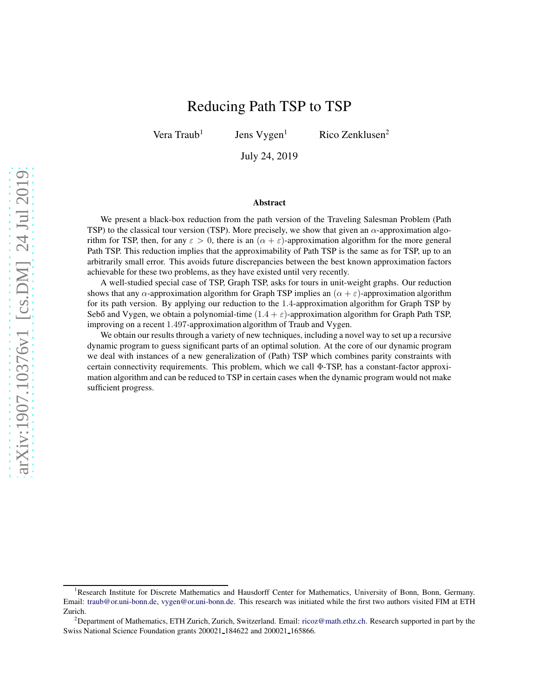# Reducing Path TSP to TSP

Vera  $Traub<sup>1</sup>$ 

Jens  $Vygen<sup>1</sup>$  Rico Zenklusen<sup>2</sup>

July 24, 2019

#### Abstract

We present a black-box reduction from the path version of the Traveling Salesman Problem (Path TSP) to the classical tour version (TSP). More precisely, we show that given an  $\alpha$ -approximation algorithm for TSP, then, for any  $\varepsilon > 0$ , there is an  $(\alpha + \varepsilon)$ -approximation algorithm for the more general Path TSP. This reduction implies that the approximability of Path TSP is the same as for TSP, up to an arbitrarily small error. This avoids future discrepancies between the best known approximation factors achievable for these two problems, as they have existed until very recently.

A well-studied special case of TSP, Graph TSP, asks for tours in unit-weight graphs. Our reduction shows that any  $\alpha$ -approximation algorithm for Graph TSP implies an  $(\alpha + \varepsilon)$ -approximation algorithm for its path version. By applying our reduction to the 1.4-approximation algorithm for Graph TSP by Sebő and Vygen, we obtain a polynomial-time  $(1.4 + \varepsilon)$ -approximation algorithm for Graph Path TSP, improving on a recent 1.497-approximation algorithm of Traub and Vygen.

We obtain our results through a variety of new techniques, including a novel way to set up a recursive dynamic program to guess significant parts of an optimal solution. At the core of our dynamic program we deal with instances of a new generalization of (Path) TSP which combines parity constraints with certain connectivity requirements. This problem, which we call Φ-TSP, has a constant-factor approximation algorithm and can be reduced to TSP in certain cases when the dynamic program would not make sufficient progress.

<sup>&</sup>lt;sup>1</sup>Research Institute for Discrete Mathematics and Hausdorff Center for Mathematics, University of Bonn, Bonn, Germany. Email: [traub@or.uni-bonn.de,](mailto:traub@or.uni-bonn.de) [vygen@or.uni-bonn.de.](mailto:vygen@or.uni-bonn.de) This research was initiated while the first two authors visited FIM at ETH Zurich.

<sup>&</sup>lt;sup>2</sup>Department of Mathematics, ETH Zurich, Zurich, Switzerland. Email: [ricoz@math.ethz.ch.](mailto:ricoz@math.ethz.ch) Research supported in part by the Swiss National Science Foundation grants 200021 184622 and 200021 165866.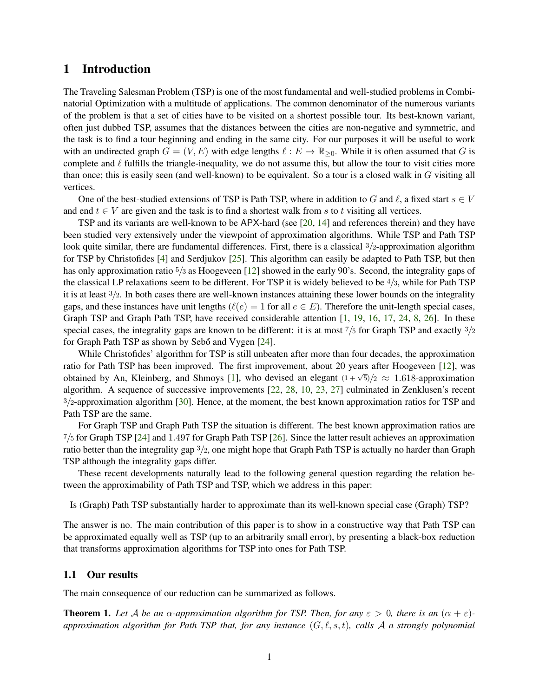### 1 Introduction

The Traveling Salesman Problem (TSP) is one of the most fundamental and well-studied problems in Combinatorial Optimization with a multitude of applications. The common denominator of the numerous variants of the problem is that a set of cities have to be visited on a shortest possible tour. Its best-known variant, often just dubbed TSP, assumes that the distances between the cities are non-negative and symmetric, and the task is to find a tour beginning and ending in the same city. For our purposes it will be useful to work with an undirected graph  $G = (V, E)$  with edge lengths  $\ell : E \to \mathbb{R}_{\geq 0}$ . While it is often assumed that G is complete and  $\ell$  fulfills the triangle-inequality, we do not assume this, but allow the tour to visit cities more than once; this is easily seen (and well-known) to be equivalent. So a tour is a closed walk in  $G$  visiting all vertices.

One of the best-studied extensions of TSP is Path TSP, where in addition to G and  $\ell$ , a fixed start  $s \in V$ and end  $t \in V$  are given and the task is to find a shortest walk from s to t visiting all vertices.

TSP and its variants are well-known to be APX-hard (see [\[20,](#page-28-0) [14\]](#page-28-1) and references therein) and they have been studied very extensively under the viewpoint of approximation algorithms. While TSP and Path TSP look quite similar, there are fundamental differences. First, there is a classical 3/2-approximation algorithm for TSP by Christofides [\[4\]](#page-27-0) and Serdjukov [\[25\]](#page-28-2). This algorithm can easily be adapted to Path TSP, but then has only approximation ratio  $\frac{5}{3}$  as Hoogeveen [\[12\]](#page-28-3) showed in the early 90's. Second, the integrality gaps of the classical LP relaxations seem to be different. For TSP it is widely believed to be  $4/3$ , while for Path TSP it is at least  $\frac{3}{2}$ . In both cases there are well-known instances attaining these lower bounds on the integrality gaps, and these instances have unit lengths ( $\ell(e) = 1$  for all  $e \in E$ ). Therefore the unit-length special cases, Graph TSP and Graph Path TSP, have received considerable attention [\[1,](#page-27-1) [19,](#page-28-4) [16,](#page-28-5) [17,](#page-28-6) [24,](#page-28-7) [8,](#page-27-2) [26\]](#page-28-8). In these special cases, the integrality gaps are known to be different: it is at most  $\frac{7}{5}$  for Graph TSP and exactly  $\frac{3}{2}$ for Graph Path TSP as shown by Sebő and Vygen [\[24\]](#page-28-7).

While Christofides' algorithm for TSP is still unbeaten after more than four decades, the approximation ratio for Path TSP has been improved. The first improvement, about 20 years after Hoogeveen [\[12\]](#page-28-3), was obtained by An, Kleinberg, and Shmoys [\[1\]](#page-27-1), who devised an elegant  $(1 + \sqrt{5})/2 \approx 1.618$ -approximation algorithm. A sequence of successive improvements [\[22,](#page-28-9) [28,](#page-28-10) [10,](#page-27-3) [23,](#page-28-11) [27\]](#page-28-12) culminated in Zenklusen's recent 3/2-approximation algorithm [\[30\]](#page-29-0). Hence, at the moment, the best known approximation ratios for TSP and Path TSP are the same.

For Graph TSP and Graph Path TSP the situation is different. The best known approximation ratios are 7/5 for Graph TSP [\[24\]](#page-28-7) and 1.497 for Graph Path TSP [\[26\]](#page-28-8). Since the latter result achieves an approximation ratio better than the integrality gap 3/2, one might hope that Graph Path TSP is actually no harder than Graph TSP although the integrality gaps differ.

These recent developments naturally lead to the following general question regarding the relation between the approximability of Path TSP and TSP, which we address in this paper:

Is (Graph) Path TSP substantially harder to approximate than its well-known special case (Graph) TSP?

The answer is no. The main contribution of this paper is to show in a constructive way that Path TSP can be approximated equally well as TSP (up to an arbitrarily small error), by presenting a black-box reduction that transforms approximation algorithms for TSP into ones for Path TSP.

### 1.1 Our results

The main consequence of our reduction can be summarized as follows.

<span id="page-1-0"></span>**Theorem 1.** Let A be an  $\alpha$ -approximation algorithm for TSP. Then, for any  $\varepsilon > 0$ , there is an  $(\alpha + \varepsilon)$ *approximation algorithm for Path TSP that, for any instance* (G, ℓ, s, t)*, calls* A *a strongly polynomial*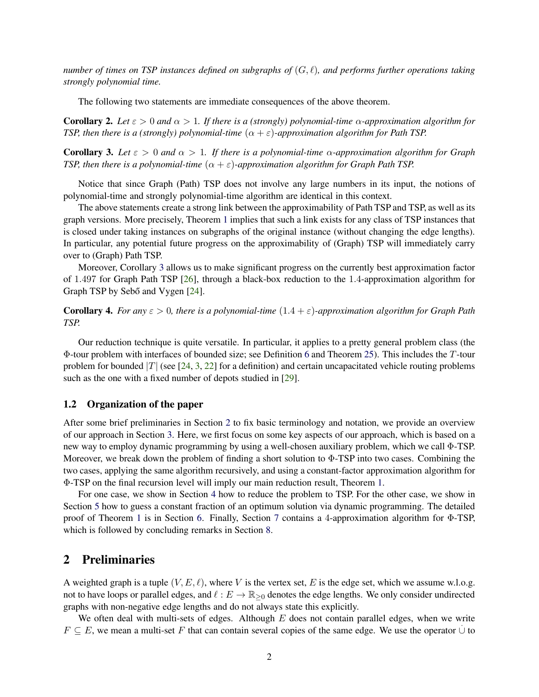*number of times on TSP instances defined on subgraphs of* (G, ℓ)*, and performs further operations taking strongly polynomial time.*

The following two statements are immediate consequences of the above theorem.

**Corollary 2.** *Let*  $\varepsilon > 0$  *and*  $\alpha > 1$ *. If there is a (strongly) polynomial-time*  $\alpha$ -approximation algorithm for *TSP, then there is a (strongly) polynomial-time*  $(\alpha + \varepsilon)$ -*approximation algorithm for Path TSP.* 

<span id="page-2-0"></span>**Corollary 3.** Let  $\varepsilon > 0$  and  $\alpha > 1$ . If there is a polynomial-time  $\alpha$ -approximation algorithm for Graph *TSP, then there is a polynomial-time*  $(\alpha + \varepsilon)$ *-approximation algorithm for Graph Path TSP.* 

Notice that since Graph (Path) TSP does not involve any large numbers in its input, the notions of polynomial-time and strongly polynomial-time algorithm are identical in this context.

The above statements create a strong link between the approximability of Path TSP and TSP, as well as its graph versions. More precisely, Theorem [1](#page-1-0) implies that such a link exists for any class of TSP instances that is closed under taking instances on subgraphs of the original instance (without changing the edge lengths). In particular, any potential future progress on the approximability of (Graph) TSP will immediately carry over to (Graph) Path TSP.

Moreover, Corollary [3](#page-2-0) allows us to make significant progress on the currently best approximation factor of 1.497 for Graph Path TSP [\[26\]](#page-28-8), through a black-box reduction to the 1.4-approximation algorithm for Graph TSP by Sebő and Vygen [\[24\]](#page-28-7).

Corollary 4. *For any* ε > 0*, there is a polynomial-time* (1.4 + ε)*-approximation algorithm for Graph Path TSP.*

Our reduction technique is quite versatile. In particular, it applies to a pretty general problem class (the Φ-tour problem with interfaces of bounded size; see Definition [6](#page-6-0) and Theorem [25\)](#page-22-0). This includes the T-tour problem for bounded |T| (see [\[24,](#page-28-7) [3,](#page-27-4) [22\]](#page-28-9) for a definition) and certain uncapacitated vehicle routing problems such as the one with a fixed number of depots studied in [\[29\]](#page-28-13).

### 1.2 Organization of the paper

After some brief preliminaries in Section [2](#page-2-1) to fix basic terminology and notation, we provide an overview of our approach in Section [3.](#page-3-0) Here, we first focus on some key aspects of our approach, which is based on a new way to employ dynamic programming by using a well-chosen auxiliary problem, which we call Φ-TSP. Moreover, we break down the problem of finding a short solution to Φ-TSP into two cases. Combining the two cases, applying the same algorithm recursively, and using a constant-factor approximation algorithm for Φ-TSP on the final recursion level will imply our main reduction result, Theorem [1.](#page-1-0)

For one case, we show in Section [4](#page-9-0) how to reduce the problem to TSP. For the other case, we show in Section [5](#page-11-0) how to guess a constant fraction of an optimum solution via dynamic programming. The detailed proof of Theorem [1](#page-1-0) is in Section [6.](#page-22-1) Finally, Section [7](#page-23-0) contains a 4-approximation algorithm for Φ-TSP, which is followed by concluding remarks in Section [8.](#page-26-0)

### <span id="page-2-1"></span>2 Preliminaries

A weighted graph is a tuple  $(V, E, \ell)$ , where V is the vertex set, E is the edge set, which we assume w.l.o.g. not to have loops or parallel edges, and  $\ell : E \to \mathbb{R}_{\geq 0}$  denotes the edge lengths. We only consider undirected graphs with non-negative edge lengths and do not always state this explicitly.

We often deal with multi-sets of edges. Although  $E$  does not contain parallel edges, when we write  $F \subseteq E$ , we mean a multi-set F that can contain several copies of the same edge. We use the operator  $\cup$  to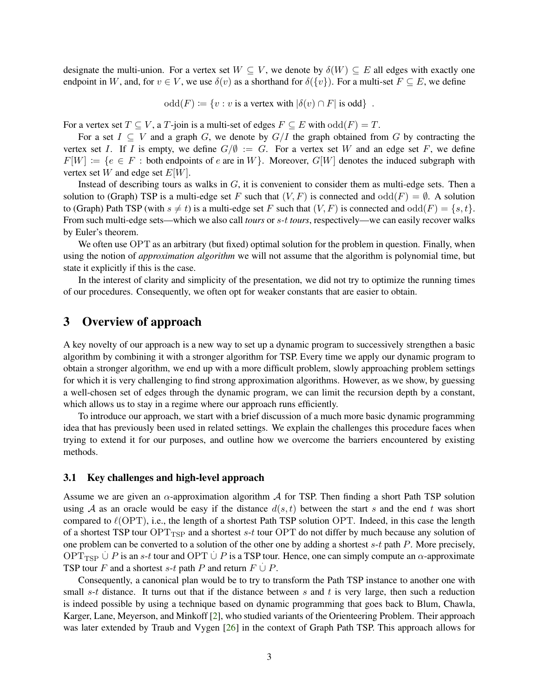designate the multi-union. For a vertex set  $W \subseteq V$ , we denote by  $\delta(W) \subseteq E$  all edges with exactly one endpoint in W, and, for  $v \in V$ , we use  $\delta(v)$  as a shorthand for  $\delta({v})$ . For a multi-set  $F \subseteq E$ , we define

odd $(F) := \{v : v$  is a vertex with  $|\delta(v) \cap F|$  is odd $\}$ .

For a vertex set  $T \subseteq V$ , a  $T$ -join is a multi-set of edges  $F \subseteq E$  with  $odd(F) = T$ .

For a set  $I \subseteq V$  and a graph G, we denote by  $G/I$  the graph obtained from G by contracting the vertex set I. If I is empty, we define  $G/\emptyset := G$ . For a vertex set W and an edge set F, we define  $F[W] := \{e \in F :$  both endpoints of e are in W $\}$ . Moreover,  $G[W]$  denotes the induced subgraph with vertex set  $W$  and edge set  $E[W]$ .

Instead of describing tours as walks in  $G$ , it is convenient to consider them as multi-edge sets. Then a solution to (Graph) TSP is a multi-edge set F such that  $(V, F)$  is connected and  $odd(F) = \emptyset$ . A solution to (Graph) Path TSP (with  $s \neq t$ ) is a multi-edge set F such that  $(V, F)$  is connected and  $odd(F) = \{s, t\}.$ From such multi-edge sets—which we also call *tours* or s-*t tours*, respectively—we can easily recover walks by Euler's theorem.

We often use OPT as an arbitrary (but fixed) optimal solution for the problem in question. Finally, when using the notion of *approximation algorithm* we will not assume that the algorithm is polynomial time, but state it explicitly if this is the case.

In the interest of clarity and simplicity of the presentation, we did not try to optimize the running times of our procedures. Consequently, we often opt for weaker constants that are easier to obtain.

## <span id="page-3-0"></span>3 Overview of approach

A key novelty of our approach is a new way to set up a dynamic program to successively strengthen a basic algorithm by combining it with a stronger algorithm for TSP. Every time we apply our dynamic program to obtain a stronger algorithm, we end up with a more difficult problem, slowly approaching problem settings for which it is very challenging to find strong approximation algorithms. However, as we show, by guessing a well-chosen set of edges through the dynamic program, we can limit the recursion depth by a constant, which allows us to stay in a regime where our approach runs efficiently.

To introduce our approach, we start with a brief discussion of a much more basic dynamic programming idea that has previously been used in related settings. We explain the challenges this procedure faces when trying to extend it for our purposes, and outline how we overcome the barriers encountered by existing methods.

#### <span id="page-3-1"></span>3.1 Key challenges and high-level approach

Assume we are given an  $\alpha$ -approximation algorithm A for TSP. Then finding a short Path TSP solution using A as an oracle would be easy if the distance  $d(s, t)$  between the start s and the end t was short compared to  $\ell(OPT)$ , i.e., the length of a shortest Path TSP solution OPT. Indeed, in this case the length of a shortest TSP tour  $OPT_{TSP}$  and a shortest s-t tour OPT do not differ by much because any solution of one problem can be converted to a solution of the other one by adding a shortest  $s-t$  path  $P$ . More precisely, OPT<sub>TSP</sub>  $\cup$  P is an s-t tour and OPT  $\cup$  P is a TSP tour. Hence, one can simply compute an  $\alpha$ -approximate TSP tour F and a shortest s-t path P and return  $F \cup P$ .

Consequently, a canonical plan would be to try to transform the Path TSP instance to another one with small s-t distance. It turns out that if the distance between s and t is very large, then such a reduction is indeed possible by using a technique based on dynamic programming that goes back to Blum, Chawla, Karger, Lane, Meyerson, and Minkoff [\[2\]](#page-27-5), who studied variants of the Orienteering Problem. Their approach was later extended by Traub and Vygen [\[26\]](#page-28-8) in the context of Graph Path TSP. This approach allows for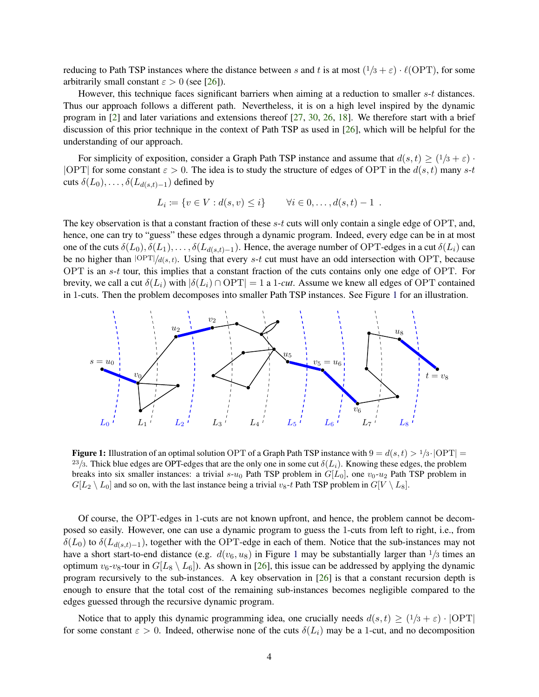reducing to Path TSP instances where the distance between s and t is at most  $(1/3 + \varepsilon) \cdot \ell(OPT)$ , for some arbitrarily small constant  $\varepsilon > 0$  (see [\[26\]](#page-28-8)).

However, this technique faces significant barriers when aiming at a reduction to smaller s-t distances. Thus our approach follows a different path. Nevertheless, it is on a high level inspired by the dynamic program in [\[2\]](#page-27-5) and later variations and extensions thereof [\[27,](#page-28-12) [30,](#page-29-0) [26,](#page-28-8) [18\]](#page-28-14). We therefore start with a brief discussion of this prior technique in the context of Path TSP as used in [\[26\]](#page-28-8), which will be helpful for the understanding of our approach.

For simplicity of exposition, consider a Graph Path TSP instance and assume that  $d(s,t) \geq (1/3 + \varepsilon)$ . |OPT| for some constant  $\varepsilon > 0$ . The idea is to study the structure of edges of OPT in the  $d(s, t)$  many s-t cuts  $\delta(L_0), \ldots, \delta(L_{d(s,t)-1})$  defined by

$$
L_i := \{ v \in V : d(s, v) \leq i \} \qquad \forall i \in 0, ..., d(s, t) - 1 \; .
$$

The key observation is that a constant fraction of these s-t cuts will only contain a single edge of OPT, and, hence, one can try to "guess" these edges through a dynamic program. Indeed, every edge can be in at most one of the cuts  $\delta(L_0), \delta(L_1), \ldots, \delta(L_{d(s,t)-1})$ . Hence, the average number of OPT-edges in a cut  $\delta(L_i)$  can be no higher than  $|OPT|/d(s, t)$ . Using that every s-t cut must have an odd intersection with OPT, because OPT is an s-t tour, this implies that a constant fraction of the cuts contains only one edge of OPT. For brevity, we call a cut  $\delta(L_i)$  with  $|\delta(L_i) \cap \text{OPT}| = 1$  a 1*-cut*. Assume we knew all edges of OPT contained in 1-cuts. Then the problem decomposes into smaller Path TSP instances. See Figure [1](#page-4-0) for an illustration.

<span id="page-4-0"></span>

**Figure 1:** Illustration of an optimal solution OPT of a Graph Path TSP instance with  $9 = d(s, t) > 1/3 \cdot |OPT|$  $^{23}/_3$ . Thick blue edges are OPT-edges that are the only one in some cut  $\delta(L_i)$ . Knowing these edges, the problem breaks into six smaller instances: a trivial s- $u_0$  Path TSP problem in  $G[L_0]$ , one  $v_0$ - $u_2$  Path TSP problem in  $G[L_2 \setminus L_0]$  and so on, with the last instance being a trivial  $v_8$ -t Path TSP problem in  $G[V \setminus L_8]$ .

Of course, the OPT-edges in 1-cuts are not known upfront, and hence, the problem cannot be decomposed so easily. However, one can use a dynamic program to guess the 1-cuts from left to right, i.e., from  $\delta(L_0)$  to  $\delta(L_{d(s,t)-1})$ , together with the OPT-edge in each of them. Notice that the sub-instances may not have a short start-to-end distance (e.g.  $d(v_6, u_8)$  in Figure [1](#page-4-0) may be substantially larger than  $1/3$  times an optimum  $v_6$ - $v_8$ -tour in  $G[L_8 \setminus L_6]$ ). As shown in [\[26\]](#page-28-8), this issue can be addressed by applying the dynamic program recursively to the sub-instances. A key observation in [\[26\]](#page-28-8) is that a constant recursion depth is enough to ensure that the total cost of the remaining sub-instances becomes negligible compared to the edges guessed through the recursive dynamic program.

Notice that to apply this dynamic programming idea, one crucially needs  $d(s,t) \ge (1/3 + \varepsilon) \cdot |OPT|$ for some constant  $\varepsilon > 0$ . Indeed, otherwise none of the cuts  $\delta(L_i)$  may be a 1-cut, and no decomposition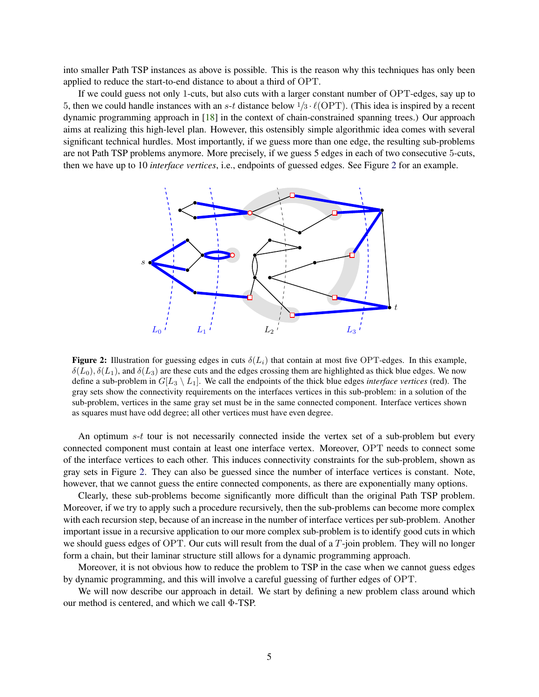into smaller Path TSP instances as above is possible. This is the reason why this techniques has only been applied to reduce the start-to-end distance to about a third of OPT.

If we could guess not only 1-cuts, but also cuts with a larger constant number of OPT-edges, say up to 5, then we could handle instances with an s-t distance below  $1/3 \cdot \ell(OPT)$ . (This idea is inspired by a recent dynamic programming approach in [\[18\]](#page-28-14) in the context of chain-constrained spanning trees.) Our approach aims at realizing this high-level plan. However, this ostensibly simple algorithmic idea comes with several significant technical hurdles. Most importantly, if we guess more than one edge, the resulting sub-problems are not Path TSP problems anymore. More precisely, if we guess 5 edges in each of two consecutive 5-cuts, then we have up to 10 *interface vertices*, i.e., endpoints of guessed edges. See Figure [2](#page-5-0) for an example.

<span id="page-5-0"></span>

**Figure 2:** Illustration for guessing edges in cuts  $\delta(L_i)$  that contain at most five OPT-edges. In this example,  $\delta(L_0), \delta(L_1)$ , and  $\delta(L_3)$  are these cuts and the edges crossing them are highlighted as thick blue edges. We now define a sub-problem in  $G[L_3 \setminus L_1]$ . We call the endpoints of the thick blue edges *interface vertices* (red). The gray sets show the connectivity requirements on the interfaces vertices in this sub-problem: in a solution of the sub-problem, vertices in the same gray set must be in the same connected component. Interface vertices shown as squares must have odd degree; all other vertices must have even degree.

An optimum s-t tour is not necessarily connected inside the vertex set of a sub-problem but every connected component must contain at least one interface vertex. Moreover, OPT needs to connect some of the interface vertices to each other. This induces connectivity constraints for the sub-problem, shown as gray sets in Figure [2.](#page-5-0) They can also be guessed since the number of interface vertices is constant. Note, however, that we cannot guess the entire connected components, as there are exponentially many options.

Clearly, these sub-problems become significantly more difficult than the original Path TSP problem. Moreover, if we try to apply such a procedure recursively, then the sub-problems can become more complex with each recursion step, because of an increase in the number of interface vertices per sub-problem. Another important issue in a recursive application to our more complex sub-problem is to identify good cuts in which we should guess edges of OPT. Our cuts will result from the dual of a T-join problem. They will no longer form a chain, but their laminar structure still allows for a dynamic programming approach.

Moreover, it is not obvious how to reduce the problem to TSP in the case when we cannot guess edges by dynamic programming, and this will involve a careful guessing of further edges of OPT.

We will now describe our approach in detail. We start by defining a new problem class around which our method is centered, and which we call Φ-TSP.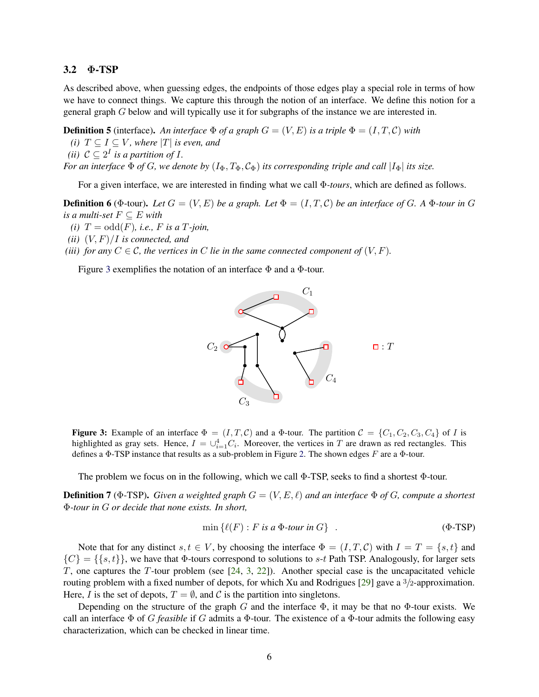### 3.2 Φ-TSP

As described above, when guessing edges, the endpoints of those edges play a special role in terms of how we have to connect things. We capture this through the notion of an interface. We define this notion for a general graph G below and will typically use it for subgraphs of the instance we are interested in.

**Definition 5** (interface). An interface  $\Phi$  of a graph  $G = (V, E)$  is a triple  $\Phi = (I, T, C)$  with *(i)*  $T \subseteq I \subseteq V$ *, where*  $|T|$  *is even, and* 

(*ii*)  $C \subseteq 2^I$  *is a partition of I*.

*For an interface*  $\Phi$  *of G, we denote by*  $(I_{\Phi}, T_{\Phi}, C_{\Phi})$  *its corresponding triple and call*  $|I_{\Phi}|$  *its size.* 

For a given interface, we are interested in finding what we call Φ*-tours*, which are defined as follows.

<span id="page-6-2"></span><span id="page-6-0"></span>**Definition 6** ( $\Phi$ -tour). Let  $G = (V, E)$  be a graph. Let  $\Phi = (I, T, C)$  be an interface of G. A  $\Phi$ -tour in G *is a multi-set*  $F \subseteq E$  *with* 

- <span id="page-6-4"></span> $(i)$   $T = \text{odd}(F)$ , *i.e.*, *F is a*  $T$ *-join*,
- <span id="page-6-3"></span>*(ii)*  $(V, F)/I$  *is connected, and*
- *(iii) for any*  $C \in \mathcal{C}$ *, the vertices in*  $C$  *lie in the same connected component of*  $(V, F)$ *.*

<span id="page-6-1"></span>Figure [3](#page-6-1) exemplifies the notation of an interface  $\Phi$  and a  $\Phi$ -tour.



Figure 3: Example of an interface  $\Phi = (I, T, C)$  and a  $\Phi$ -tour. The partition  $C = \{C_1, C_2, C_3, C_4\}$  of I is highlighted as gray sets. Hence,  $I = \bigcup_{i=1}^{4} C_i$ . Moreover, the vertices in T are drawn as red rectangles. This defines a  $\Phi$ -TSP instance that results as a sub-problem in Figure [2.](#page-5-0) The shown edges F are a  $\Phi$ -tour.

The problem we focus on in the following, which we call Φ-TSP, seeks to find a shortest Φ-tour.

**Definition 7** ( $\Phi$ -TSP). *Given a weighted graph*  $G = (V, E, \ell)$  *and an interface*  $\Phi$  *of G*, *compute a shortest* Φ*-tour in* G *or decide that none exists. In short,*

$$
\min \{ \ell(F) : F \text{ is a } \Phi\text{-tour in } G \} \tag{ \Phi\text{-TSP} }
$$

Note that for any distinct  $s, t \in V$ , by choosing the interface  $\Phi = (I, T, C)$  with  $I = T = \{s, t\}$  and  ${C} = {\{s, t\}}$ , we have that  $\Phi$ -tours correspond to solutions to s-t Path TSP. Analogously, for larger sets T, one captures the T-tour problem (see [\[24,](#page-28-7) [3,](#page-27-4) [22\]](#page-28-9)). Another special case is the uncapacitated vehicle routing problem with a fixed number of depots, for which Xu and Rodrigues [\[29\]](#page-28-13) gave a 3/2-approximation. Here, I is the set of depots,  $T = \emptyset$ , and C is the partition into singletons.

Depending on the structure of the graph G and the interface  $\Phi$ , it may be that no  $\Phi$ -tour exists. We call an interface Φ of G *feasible* if G admits a Φ-tour. The existence of a Φ-tour admits the following easy characterization, which can be checked in linear time.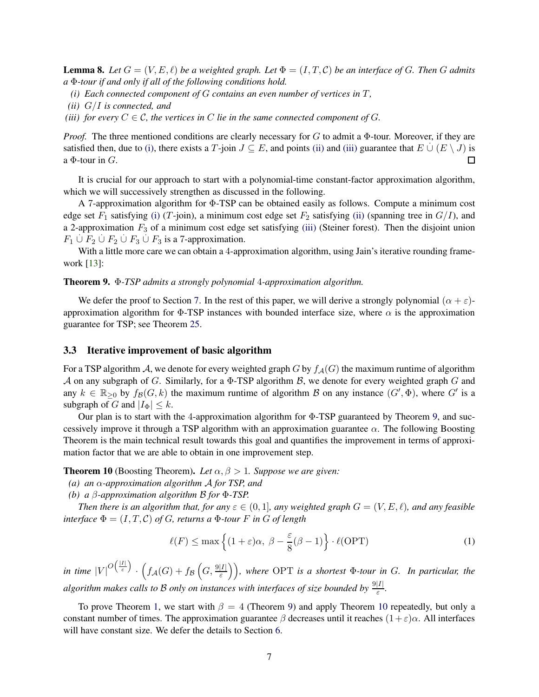<span id="page-7-6"></span><span id="page-7-0"></span>**Lemma 8.** Let  $G = (V, E, \ell)$  be a weighted graph. Let  $\Phi = (I, T, \mathcal{C})$  be an interface of G. Then G admits *a* Φ*-tour if and only if all of the following conditions hold.*

- <span id="page-7-1"></span>*(i) Each connected component of* G *contains an even number of vertices in* T*,*
- <span id="page-7-2"></span>*(ii)* G/I *is connected, and*
- *(iii) for every*  $C \in \mathcal{C}$ , the vertices in C lie in the same connected component of G.

*Proof.* The three mentioned conditions are clearly necessary for G to admit a  $\Phi$ -tour. Moreover, if they are satisfied then, due to [\(i\),](#page-7-0) there exists a T-join  $J \subseteq E$ , and points [\(ii\)](#page-7-1) and [\(iii\)](#page-7-2) guarantee that  $E \cup (E \setminus J)$  is a  $\Phi$ -tour in  $G$ . П

It is crucial for our approach to start with a polynomial-time constant-factor approximation algorithm, which we will successively strengthen as discussed in the following.

A 7-approximation algorithm for Φ-TSP can be obtained easily as follows. Compute a minimum cost edge set  $F_1$  satisfying [\(i\)](#page-7-0) (T-join), a minimum cost edge set  $F_2$  satisfying [\(ii\)](#page-7-1) (spanning tree in  $G/I$ ), and a 2-approximation  $F_3$  of a minimum cost edge set satisfying [\(iii\)](#page-7-2) (Steiner forest). Then the disjoint union  $F_1 \cup F_2 \cup F_2 \cup F_3 \cup F_3$  is a 7-approximation.

With a little more care we can obtain a 4-approximation algorithm, using Jain's iterative rounding framework [\[13\]](#page-28-15):

#### <span id="page-7-3"></span>Theorem 9. Φ*-TSP admits a strongly polynomial* 4*-approximation algorithm.*

We defer the proof to Section [7.](#page-23-0) In the rest of this paper, we will derive a strongly polynomial  $(\alpha + \varepsilon)$ approximation algorithm for  $\Phi$ -TSP instances with bounded interface size, where  $\alpha$  is the approximation guarantee for TSP; see Theorem [25.](#page-22-0)

### 3.3 Iterative improvement of basic algorithm

For a TSP algorithm A, we denote for every weighted graph G by  $f_A(G)$  the maximum runtime of algorithm A on any subgraph of G. Similarly, for a  $\Phi$ -TSP algorithm B, we denote for every weighted graph G and any  $k \in \mathbb{R}_{\geq 0}$  by  $f_{\mathcal{B}}(G, k)$  the maximum runtime of algorithm  $\mathcal{B}$  on any instance  $(G', \Phi)$ , where  $G'$  is a subgraph of G and  $|I_{\Phi}| \leq k$ .

Our plan is to start with the 4-approximation algorithm for Φ-TSP guaranteed by Theorem [9,](#page-7-3) and successively improve it through a TSP algorithm with an approximation guarantee  $\alpha$ . The following Boosting Theorem is the main technical result towards this goal and quantifies the improvement in terms of approximation factor that we are able to obtain in one improvement step.

<span id="page-7-4"></span>**Theorem 10** (Boosting Theorem). Let  $\alpha, \beta > 1$ . Suppose we are given:

*(a) an* α*-approximation algorithm* A *for TSP, and*

*(b) a* β*-approximation algorithm* B *for* Φ*-TSP.*

*Then there is an algorithm that, for any*  $\varepsilon \in (0,1]$ *, any weighted graph*  $G = (V, E, \ell)$ *, and any feasible interface*  $\Phi = (I, T, C)$  *of G, returns a*  $\Phi$ *-tour* F *in G of length* 

<span id="page-7-5"></span>
$$
\ell(F) \le \max\left\{ (1+\varepsilon)\alpha, \ \beta - \frac{\varepsilon}{8}(\beta - 1) \right\} \cdot \ell(\text{OPT}) \tag{1}
$$

in time  $|V|^{O\left(\frac{|I|}{\varepsilon}\right)} \cdot \left(f_\mathcal{A}(G) + f_\mathcal{B}\left(G, \frac{9|I|}{\varepsilon}\right)\right)$ , where OPT is a shortest  $\Phi$ -tour in G. In particular, the *algorithm makes calls to B only on instances with interfaces of size bounded by*  $\frac{9|I|}{\varepsilon}$ .

To prove Theorem [1,](#page-1-0) we start with  $\beta = 4$  (Theorem [9\)](#page-7-3) and apply Theorem [10](#page-7-4) repeatedly, but only a constant number of times. The approximation guarantee  $\beta$  decreases until it reaches  $(1+\varepsilon)\alpha$ . All interfaces will have constant size. We defer the details to Section [6.](#page-22-1)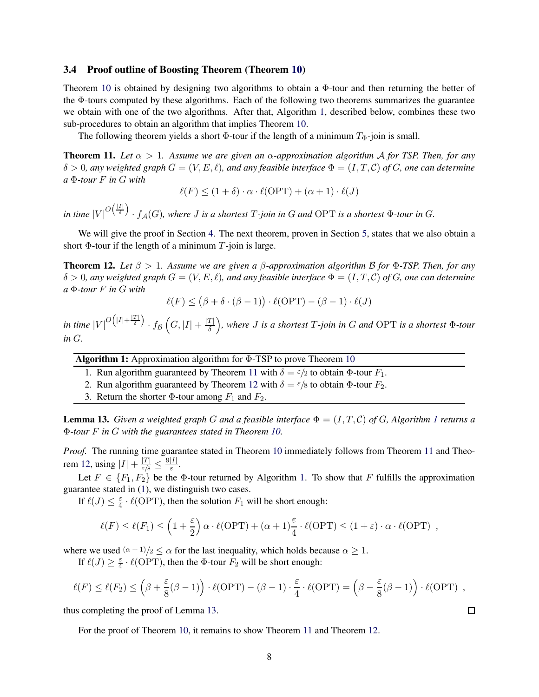### 3.4 Proof outline of Boosting Theorem (Theorem [10\)](#page-7-4)

Theorem [10](#page-7-4) is obtained by designing two algorithms to obtain a  $\Phi$ -tour and then returning the better of the Φ-tours computed by these algorithms. Each of the following two theorems summarizes the guarantee we obtain with one of the two algorithms. After that, Algorithm [1,](#page-8-0) described below, combines these two sub-procedures to obtain an algorithm that implies Theorem [10.](#page-7-4)

The following theorem yields a short  $\Phi$ -tour if the length of a minimum  $T_{\Phi}$ -join is small.

<span id="page-8-1"></span>**Theorem 11.** Let  $\alpha > 1$ . Assume we are given an  $\alpha$ -approximation algorithm A for TSP. Then, for any  $\delta > 0$ , any weighted graph  $G = (V, E, \ell)$ , and any feasible interface  $\Phi = (I, T, \mathcal{C})$  of G, one can determine *a* Φ*-tour* F *in* G *with*

$$
\ell(F) \le (1 + \delta) \cdot \alpha \cdot \ell(OPT) + (\alpha + 1) \cdot \ell(J)
$$

in time  $|V|^{O(\frac{|I|}{\delta})} \cdot f_A(G)$ , where  $J$  is a shortest  $T$ -join in  $G$  and OPT is a shortest  $\Phi$ -tour in  $G$ .

We will give the proof in Section [4.](#page-9-0) The next theorem, proven in Section [5,](#page-11-0) states that we also obtain a short  $\Phi$ -tour if the length of a minimum  $T$ -join is large.

<span id="page-8-2"></span>Theorem 12. *Let* β > 1*. Assume we are given a* β*-approximation algorithm* B *for* Φ*-TSP. Then, for any*  $\delta > 0$ , any weighted graph  $G = (V, E, \ell)$ , and any feasible interface  $\Phi = (I, T, \mathcal{C})$  of G, one can determine *a* Φ*-tour* F *in* G *with*

 $\ell(F) \leq (\beta + \delta \cdot (\beta - 1)) \cdot \ell(OPT) - (\beta - 1) \cdot \ell(J)$ 

in time  $|V|^{O(|I|+\frac{|T|}{\delta})} \cdot f_{\mathcal{B}}\left(G,|I|+\frac{|T|}{\delta}\right)$ , where  $J$  is a shortest  $T$ -join in  $G$  and OPT is a shortest  $\Phi$ -tour *in* G*.*

Algorithm 1: Approximation algorithm for Φ-TSP to prove Theorem [10](#page-7-4)

- 1. Run algorithm guaranteed by Theorem [11](#page-8-1) with  $\delta = \epsilon/2$  to obtain  $\Phi$ -tour  $F_1$ .
- 2. Run algorithm guaranteed by Theorem [12](#page-8-2) with  $\delta = \epsilon/8$  to obtain  $\Phi$ -tour  $F_2$ .
- <span id="page-8-0"></span>3. Return the shorter  $\Phi$ -tour among  $F_1$  and  $F_2$ .

<span id="page-8-3"></span>**Lemma [1](#page-8-0)3.** *Given a weighted graph G and a feasible interface*  $\Phi = (I, T, C)$  *of G, Algorithm 1 returns a* Φ*-tour* F *in* G *with the guarantees stated in Theorem [10.](#page-7-4)*

*Proof.* The running time guarantee stated in Theorem [10](#page-7-4) immediately follows from Theorem [11](#page-8-1) and Theo-rem [12,](#page-8-2) using  $|I| + \frac{|T|}{\varepsilon/8} \leq \frac{9|I|}{\varepsilon}$ .

Let  $F \in \{F_1, F_2\}$  be the  $\Phi$ -tour returned by Algorithm [1.](#page-8-0) To show that F fulfills the approximation guarantee stated in [\(1\)](#page-7-5), we distinguish two cases.

If  $\ell(J) \leq \frac{\varepsilon}{4} \cdot \ell(\text{OPT})$ , then the solution  $F_1$  will be short enough:

$$
\ell(F) \le \ell(F_1) \le \left(1 + \frac{\varepsilon}{2}\right) \alpha \cdot \ell(OPT) + (\alpha + 1)\frac{\varepsilon}{4} \cdot \ell(OPT) \le (1 + \varepsilon) \cdot \alpha \cdot \ell(OPT) ,
$$

where we used  $(\alpha + 1)/2 \leq \alpha$  for the last inequality, which holds because  $\alpha \geq 1$ .

If  $\ell(J) \geq \frac{\varepsilon}{4}$  $\frac{\varepsilon}{4} \cdot \ell(\text{OPT})$ , then the  $\Phi$ -tour  $F_2$  will be short enough:

$$
\ell(F) \leq \ell(F_2) \leq \left(\beta + \frac{\varepsilon}{8}(\beta - 1)\right) \cdot \ell(OPT) - (\beta - 1) \cdot \frac{\varepsilon}{4} \cdot \ell(OPT) = \left(\beta - \frac{\varepsilon}{8}(\beta - 1)\right) \cdot \ell(OPT) ,
$$

thus completing the proof of Lemma [13.](#page-8-3)

For the proof of Theorem [10,](#page-7-4) it remains to show Theorem [11](#page-8-1) and Theorem [12.](#page-8-2)

 $\Box$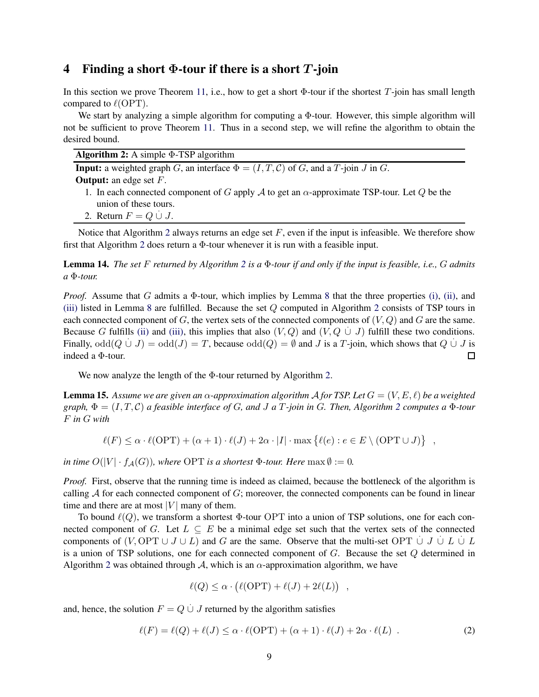### <span id="page-9-0"></span>4 Finding a short  $\Phi$ -tour if there is a short T-join

In this section we prove Theorem [11,](#page-8-1) i.e., how to get a short  $\Phi$ -tour if the shortest T-join has small length compared to  $\ell$ (OPT).

We start by analyzing a simple algorithm for computing a  $\Phi$ -tour. However, this simple algorithm will not be sufficient to prove Theorem [11.](#page-8-1) Thus in a second step, we will refine the algorithm to obtain the desired bound.

|  | <b>Algorithm 2:</b> A simple $\Phi$ -TSP algorithm |
|--|----------------------------------------------------|
|  |                                                    |

**Input:** a weighted graph G, an interface  $\Phi = (I, T, C)$  of G, and a T-join J in G. **Output:** an edge set  $F$ .

- 1. In each connected component of G apply A to get an  $\alpha$ -approximate TSP-tour. Let Q be the union of these tours.
- <span id="page-9-1"></span>2. Return  $F = Q \cup J$ .

Notice that Algorithm [2](#page-9-1) always returns an edge set  $F$ , even if the input is infeasible. We therefore show first that Algorithm [2](#page-9-1) does return a Φ-tour whenever it is run with a feasible input.

Lemma 14. *The set* F *returned by Algorithm [2](#page-9-1) is a* Φ*-tour if and only if the input is feasible, i.e.,* G *admits a* Φ*-tour.*

*Proof.* Assume that G admits a  $\Phi$ -tour, which implies by Lemma [8](#page-7-6) that the three properties [\(i\),](#page-7-0) [\(ii\),](#page-7-1) and [\(iii\)](#page-7-2) listed in Lemma [8](#page-7-6) are fulfilled. Because the set Q computed in Algorithm [2](#page-9-1) consists of TSP tours in each connected component of G, the vertex sets of the connected components of  $(V, Q)$  and G are the same. Because G fulfills [\(ii\)](#page-7-1) and [\(iii\),](#page-7-2) this implies that also  $(V, Q)$  and  $(V, Q \cup J)$  fulfill these two conditions. Finally,  $odd(Q \cup J) = odd(J) = T$ , because  $odd(Q) = \emptyset$  and J is a T-join, which shows that  $Q \cup J$  is indeed a Φ-tour.  $\Box$ 

We now analyze the length of the Φ-tour returned by Algorithm [2.](#page-9-1)

<span id="page-9-3"></span>**Lemma 15.** Assume we are given an  $\alpha$ -approximation algorithm A for TSP. Let  $G = (V, E, \ell)$  be a weighted  $graph, \Phi = (I, T, C)$  *a feasible interface of G, and J a T-join in G. Then, Algorithm [2](#page-9-1) computes a*  $\Phi$ *-tour* F *in* G *with*

 $\ell(F) \leq \alpha \cdot \ell(OPT) + (\alpha + 1) \cdot \ell(J) + 2\alpha \cdot |I| \cdot \max \{ \ell(e) : e \in E \setminus (OPT \cup J) \}$ ,

*in time*  $O(|V| \cdot f_A(G))$ *, where* OPT *is a shortest*  $\Phi$ *-tour. Here* max  $\emptyset := 0$ *.* 

*Proof.* First, observe that the running time is indeed as claimed, because the bottleneck of the algorithm is calling  $A$  for each connected component of  $G$ ; moreover, the connected components can be found in linear time and there are at most  $|V|$  many of them.

To bound  $\ell(Q)$ , we transform a shortest  $\Phi$ -tour OPT into a union of TSP solutions, one for each connected component of G. Let  $L \subseteq E$  be a minimal edge set such that the vertex sets of the connected components of  $(V, \text{OPT} \cup J \cup L)$  and G are the same. Observe that the multi-set  $\text{OPT} \cup J \cup L \cup L$ is a union of TSP solutions, one for each connected component of  $G$ . Because the set  $Q$  determined in Algorithm [2](#page-9-1) was obtained through A, which is an  $\alpha$ -approximation algorithm, we have

$$
\ell(Q) \leq \alpha \cdot (\ell(OPT) + \ell(J) + 2\ell(L)),
$$

and, hence, the solution  $F = Q \cup J$  returned by the algorithm satisfies

<span id="page-9-2"></span>
$$
\ell(F) = \ell(Q) + \ell(J) \le \alpha \cdot \ell(OPT) + (\alpha + 1) \cdot \ell(J) + 2\alpha \cdot \ell(L) \tag{2}
$$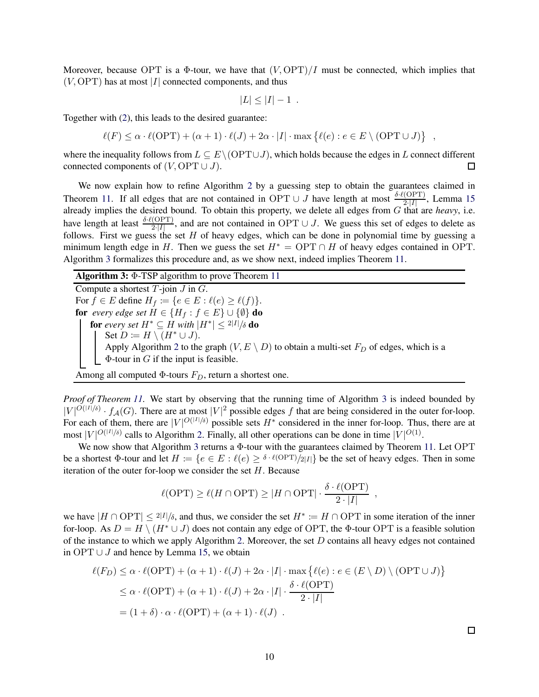Moreover, because OPT is a  $\Phi$ -tour, we have that  $(V, \text{OPT})/I$  must be connected, which implies that  $(V, \text{OPT})$  has at most |I| connected components, and thus

$$
|L| \leq |I| - 1.
$$

Together with [\(2\)](#page-9-2), this leads to the desired guarantee:

 $\ell(F) \leq \alpha \cdot \ell(OPT) + (\alpha + 1) \cdot \ell(J) + 2\alpha \cdot |I| \cdot \max \{ \ell(e) : e \in E \setminus (OPT \cup J) \}$ ,

where the inequality follows from  $L \subseteq E \setminus (OPT \cup J)$ , which holds because the edges in L connect different  $\Box$ connected components of  $(V, \text{OPT} \cup J)$ .

We now explain how to refine Algorithm [2](#page-9-1) by a guessing step to obtain the guarantees claimed in Theorem [11.](#page-8-1) If all edges that are not contained in OPT ∪ J have length at most  $\frac{\delta \cdot \ell(\text{OPT})}{2^2 |I|}$ , Lemma [15](#page-9-3) already implies the desired bound. To obtain this property, we delete all edges from G that are *heavy*, i.e. have length at least  $\frac{\delta \cdot \ell(\text{OPT})}{2^t|I|}$ , and are not contained in OPT ∪ J. We guess this set of edges to delete as follows. First we guess the set H of heavy edges, which can be done in polynomial time by guessing a minimum length edge in H. Then we guess the set  $H^* = \text{OPT} \cap H$  of heavy edges contained in OPT. Algorithm [3](#page-10-0) formalizes this procedure and, as we show next, indeed implies Theorem [11.](#page-8-1)

Algorithm 3: Φ-TSP algorithm to prove Theorem [11](#page-8-1)

Compute a shortest  $T$ -join  $J$  in  $G$ . For  $f \in E$  define  $H_f \coloneqq \{e \in E : \ell(e) \ge \ell(f)\}.$ for *every edge set*  $H \in \{H_f : f \in E\} \cup \{\emptyset\}$  do for every set  $H^*\subseteq H$  with  $|H^*|\leq 2|I|/\delta$  do Set  $D \coloneqq H \setminus (H^* \cup J)$ . Apply Algorithm [2](#page-9-1) to the graph  $(V, E \setminus D)$  to obtain a multi-set  $F_D$  of edges, which is a  $\Phi$ -tour in  $G$  if the input is feasible.

Among all computed  $\Phi$ -tours  $F_D$ , return a shortest one.

*Proof of Theorem [11.](#page-8-1)* We start by observing that the running time of Algorithm [3](#page-10-0) is indeed bounded by  $|V|^{O(|I|/\delta)} \cdot f_{\mathcal{A}}(G)$ . There are at most  $|V|^2$  possible edges f that are being considered in the outer for-loop. For each of them, there are  $|V|^{O(|I|/\delta)}$  possible sets  $H^*$  considered in the inner for-loop. Thus, there are at most  $|V|^{O(|I|/\delta)}$  calls to Algorithm [2.](#page-9-1) Finally, all other operations can be done in time  $|V|^{O(1)}$ .

We now show that Algorithm [3](#page-10-0) returns a Φ-tour with the guarantees claimed by Theorem [11.](#page-8-1) Let OPT be a shortest  $\Phi$ -tour and let  $H := \{e \in E : \ell(e) \geq \delta \cdot \ell(\text{OPT})/2|I|\}$  be the set of heavy edges. Then in some iteration of the outer for-loop we consider the set  $H$ . Because

$$
\ell(\text{OPT}) \ge \ell(H \cap \text{OPT}) \ge |H \cap \text{OPT}| \cdot \frac{\delta \cdot \ell(\text{OPT})}{2 \cdot |I|}
$$

<span id="page-10-0"></span>,

we have  $|H \cap \text{OPT}| \leq 2|I|/6$ , and thus, we consider the set  $H^* \coloneq H \cap \text{OPT}$  in some iteration of the inner for-loop. As  $D = H \setminus (H^* \cup J)$  does not contain any edge of OPT, the  $\Phi$ -tour OPT is a feasible solution of the instance to which we apply Algorithm [2.](#page-9-1) Moreover, the set  $D$  contains all heavy edges not contained in OPT ∪  $J$  and hence by Lemma [15,](#page-9-3) we obtain

$$
\ell(F_D) \leq \alpha \cdot \ell(OPT) + (\alpha + 1) \cdot \ell(J) + 2\alpha \cdot |I| \cdot \max \{ \ell(e) : e \in (E \setminus D) \setminus (OPT \cup J) \}
$$
  
 
$$
\leq \alpha \cdot \ell(OPT) + (\alpha + 1) \cdot \ell(J) + 2\alpha \cdot |I| \cdot \frac{\delta \cdot \ell(OPT)}{2 \cdot |I|}
$$
  
=  $(1 + \delta) \cdot \alpha \cdot \ell(OPT) + (\alpha + 1) \cdot \ell(J)$ .

 $\Box$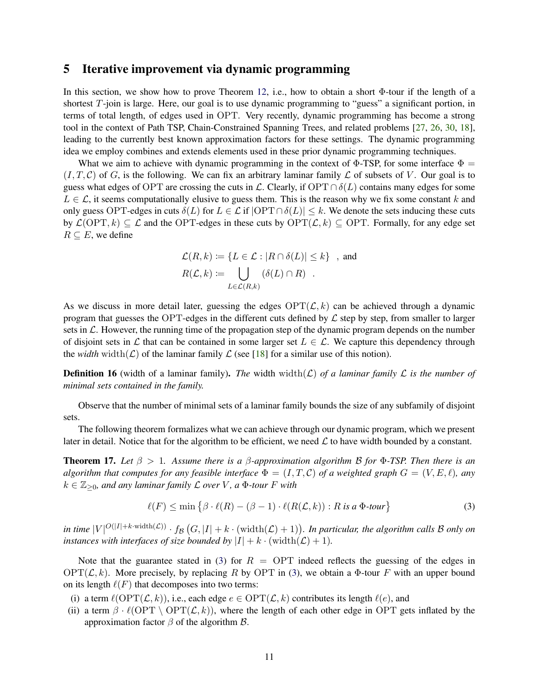### <span id="page-11-0"></span>5 Iterative improvement via dynamic programming

In this section, we show how to prove Theorem [12,](#page-8-2) i.e., how to obtain a short Φ-tour if the length of a shortest T-join is large. Here, our goal is to use dynamic programming to "guess" a significant portion, in terms of total length, of edges used in OPT. Very recently, dynamic programming has become a strong tool in the context of Path TSP, Chain-Constrained Spanning Trees, and related problems [\[27,](#page-28-12) [26,](#page-28-8) [30,](#page-29-0) [18\]](#page-28-14), leading to the currently best known approximation factors for these settings. The dynamic programming idea we employ combines and extends elements used in these prior dynamic programming techniques.

What we aim to achieve with dynamic programming in the context of  $\Phi$ -TSP, for some interface  $\Phi =$  $(I, T, C)$  of G, is the following. We can fix an arbitrary laminar family  $\mathcal L$  of subsets of V. Our goal is to guess what edges of OPT are crossing the cuts in L. Clearly, if  $\text{OPT} \cap \delta(L)$  contains many edges for some  $L \in \mathcal{L}$ , it seems computationally elusive to guess them. This is the reason why we fix some constant k and only guess OPT-edges in cuts  $\delta(L)$  for  $L \in \mathcal{L}$  if  $|\text{OPT} \cap \delta(L)| \leq k$ . We denote the sets inducing these cuts by  $\mathcal{L}(\text{OPT}, k) \subseteq \mathcal{L}$  and the OPT-edges in these cuts by  $\text{OPT}(\mathcal{L}, k) \subseteq \text{OPT}$ . Formally, for any edge set  $R \subseteq E$ , we define

$$
\mathcal{L}(R,k) := \{ L \in \mathcal{L} : |R \cap \delta(L)| \le k \}, \text{ and}
$$

$$
R(\mathcal{L},k) := \bigcup_{L \in \mathcal{L}(R,k)} (\delta(L) \cap R) .
$$

As we discuss in more detail later, guessing the edges  $\text{OPT}(\mathcal{L}, k)$  can be achieved through a dynamic program that guesses the OPT-edges in the different cuts defined by  $\mathcal L$  step by step, from smaller to larger sets in  $\mathcal L$ . However, the running time of the propagation step of the dynamic program depends on the number of disjoint sets in L that can be contained in some larger set  $L \in \mathcal{L}$ . We capture this dependency through the *width* width( $\mathcal{L}$ ) of the laminar family  $\mathcal{L}$  (see [\[18\]](#page-28-14) for a similar use of this notion).

**Definition 16** (width of a laminar family). *The* width width( $\mathcal{L}$ ) *of a laminar family*  $\mathcal{L}$  *is the number of minimal sets contained in the family.*

Observe that the number of minimal sets of a laminar family bounds the size of any subfamily of disjoint sets.

The following theorem formalizes what we can achieve through our dynamic program, which we present later in detail. Notice that for the algorithm to be efficient, we need  $\mathcal L$  to have width bounded by a constant.

<span id="page-11-2"></span>Theorem 17. *Let* β > 1*. Assume there is a* β*-approximation algorithm* B *for* Φ*-TSP. Then there is an algorithm that computes for any feasible interface*  $\Phi = (I, T, \mathcal{C})$  *of a weighted graph*  $G = (V, E, \ell)$ *, any*  $k \in \mathbb{Z}_{\geq 0}$ , and any laminar family  $\mathcal L$  over V, a  $\Phi$ -tour F with

<span id="page-11-1"></span>
$$
\ell(F) \le \min\left\{\beta \cdot \ell(R) - (\beta - 1) \cdot \ell(R(\mathcal{L}, k)) : R \text{ is a } \Phi\text{-tour}\right\} \tag{3}
$$

*in time*  $|V|^{O(|I|+k \cdot \text{width}(\mathcal{L}))} \cdot f_{\mathcal{B}}(G, |I|+k \cdot (\text{width}(\mathcal{L})+1)).$  In particular, the algorithm calls B only on *instances with interfaces of size bounded by*  $|I| + k \cdot (width(\mathcal{L}) + 1)$ *.* 

Note that the guarantee stated in [\(3\)](#page-11-1) for  $R = \text{OPT}$  indeed reflects the guessing of the edges in  $OPT(\mathcal{L}, k)$ . More precisely, by replacing R by OPT in [\(3\)](#page-11-1), we obtain a  $\Phi$ -tour F with an upper bound on its length  $\ell(F)$  that decomposes into two terms:

- (i) a term  $\ell(\text{OPT}(\mathcal{L}, k))$ , i.e., each edge  $e \in \text{OPT}(\mathcal{L}, k)$  contributes its length  $\ell(e)$ , and
- (ii) a term  $\beta \cdot \ell(OPT \setminus OPT(\mathcal{L}, k))$ , where the length of each other edge in OPT gets inflated by the approximation factor  $β$  of the algorithm  $β$ .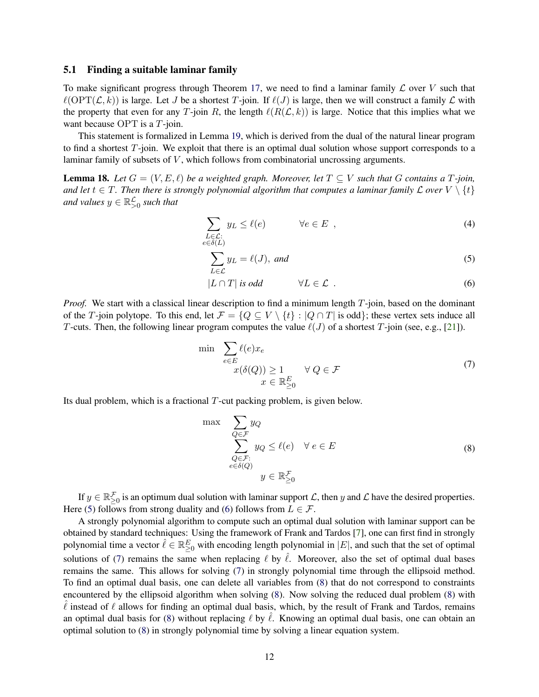### 5.1 Finding a suitable laminar family

To make significant progress through Theorem [17,](#page-11-2) we need to find a laminar family  $\mathcal L$  over V such that  $\ell(\text{OPT}(\mathcal{L}, k))$  is large. Let J be a shortest T-join. If  $\ell(J)$  is large, then we will construct a family  $\mathcal L$  with the property that even for any T-join R, the length  $\ell(R(\mathcal{L}, k))$  is large. Notice that this implies what we want because OPT is a T-join.

This statement is formalized in Lemma [19,](#page-13-0) which is derived from the dual of the natural linear program to find a shortest T-join. We exploit that there is an optimal dual solution whose support corresponds to a laminar family of subsets of  $V$ , which follows from combinatorial uncrossing arguments.

<span id="page-12-4"></span>**Lemma 18.** Let  $G = (V, E, \ell)$  be a weighted graph. Moreover, let  $T \subseteq V$  such that G contains a T-join, *and let*  $t \in T$ . Then there is strongly polynomial algorithm that computes a laminar family  $\mathcal L$  over  $V \setminus \{t\}$ and values  $y \in \mathbb{R}^{\mathcal{L}}_{>0}$  such that

$$
\sum_{\substack{L \in \mathcal{L}: \\ e \in \delta(L)}} y_L \le \ell(e) \qquad \forall e \in E , \qquad (4)
$$

<span id="page-12-5"></span><span id="page-12-1"></span><span id="page-12-0"></span>
$$
\sum_{L \in \mathcal{L}} y_L = \ell(J), \text{ and } (5)
$$

$$
|L \cap T| \text{ is odd} \qquad \forall L \in \mathcal{L} \tag{6}
$$

*Proof.* We start with a classical linear description to find a minimum length T-join, based on the dominant of the T-join polytope. To this end, let  $\mathcal{F} = \{Q \subseteq V \setminus \{t\} : |Q \cap T|$  is odd}; these vertex sets induce all T-cuts. Then, the following linear program computes the value  $\ell(J)$  of a shortest T-join (see, e.g., [\[21\]](#page-28-16)).

<span id="page-12-2"></span>
$$
\min \sum_{e \in E} \ell(e)x_e
$$
\n
$$
x(\delta(Q)) \ge 1 \qquad \forall Q \in \mathcal{F}
$$
\n
$$
x \in \mathbb{R}^E_{\ge 0} \tag{7}
$$

Its dual problem, which is a fractional T-cut packing problem, is given below.

<span id="page-12-3"></span>
$$
\max \sum_{\substack{Q \in \mathcal{F} \\ Q \in \mathcal{F}: \\ e \in \delta(Q)}} y_Q \le \ell(e) \quad \forall e \in E
$$
\n
$$
\sum_{e \in \delta(Q)} y_Q \le \ell(e) \quad \forall e \in E
$$
\n
$$
(8)
$$
\n
$$
y \in \mathbb{R}_{\geq 0}^{\mathcal{F}}
$$

If  $y \in \mathbb{R}_{\geq 0}^{\neq}$  is an optimum dual solution with laminar support  $\mathcal{L}$ , then y and  $\mathcal{L}$  have the desired properties. Here [\(5\)](#page-12-0) follows from strong duality and [\(6\)](#page-12-1) follows from  $L \in \mathcal{F}$ .

A strongly polynomial algorithm to compute such an optimal dual solution with laminar support can be obtained by standard techniques: Using the framework of Frank and Tardos [\[7\]](#page-27-6), one can first find in strongly polynomial time a vector  $\hat{\ell} \in \mathbb{R}^E_{\geq 0}$  with encoding length polynomial in  $|E|$ , and such that the set of optimal solutions of [\(7\)](#page-12-2) remains the same when replacing  $\ell$  by  $\ell$ . Moreover, also the set of optimal dual bases remains the same. This allows for solving [\(7\)](#page-12-2) in strongly polynomial time through the ellipsoid method. To find an optimal dual basis, one can delete all variables from [\(8\)](#page-12-3) that do not correspond to constraints encountered by the ellipsoid algorithm when solving [\(8\)](#page-12-3). Now solving the reduced dual problem [\(8\)](#page-12-3) with  $\ell$  instead of  $\ell$  allows for finding an optimal dual basis, which, by the result of Frank and Tardos, remains an optimal dual basis for [\(8\)](#page-12-3) without replacing  $\ell$  by  $\ell$ . Knowing an optimal dual basis, one can obtain an optimal solution to [\(8\)](#page-12-3) in strongly polynomial time by solving a linear equation system.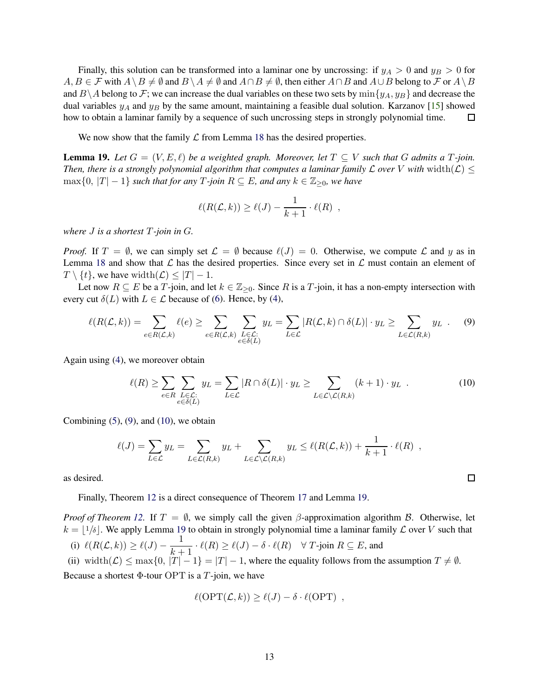Finally, this solution can be transformed into a laminar one by uncrossing: if  $y_A > 0$  and  $y_B > 0$  for  $A, B \in \mathcal{F}$  with  $A \setminus B \neq \emptyset$  and  $B \setminus A \neq \emptyset$  and  $A \cap B \neq \emptyset$ , then either  $A \cap B$  and  $A \cup B$  belong to  $\mathcal{F}$  or  $A \setminus B$ and  $B\setminus A$  belong to F; we can increase the dual variables on these two sets by  $\min\{y_A, y_B\}$  and decrease the dual variables  $y_A$  and  $y_B$  by the same amount, maintaining a feasible dual solution. Karzanov [\[15\]](#page-28-17) showed how to obtain a laminar family by a sequence of such uncrossing steps in strongly polynomial time.  $\Box$ 

We now show that the family  $\mathcal L$  from Lemma [18](#page-12-4) has the desired properties.

<span id="page-13-0"></span>**Lemma 19.** Let  $G = (V, E, \ell)$  be a weighted graph. Moreover, let  $T \subseteq V$  such that G admits a T-join. *Then, there is a strongly polynomial algorithm that computes a laminar family*  $\mathcal L$  *over* V *with* width( $\mathcal L$ )  $\leq$ max ${0, |T| − 1}$  *such that for any*  $T$ -*join*  $R ⊆ E$ *, and any*  $k ∈ \mathbb{Z}_{\geq 0}$ *, we have* 

$$
\ell(R(\mathcal{L}, k)) \ge \ell(J) - \frac{1}{k+1} \cdot \ell(R) ,
$$

*where* J *is a shortest* T*-join in* G*.*

*Proof.* If  $T = \emptyset$ , we can simply set  $\mathcal{L} = \emptyset$  because  $\ell(J) = 0$ . Otherwise, we compute  $\mathcal{L}$  and y as in Lemma [18](#page-12-4) and show that  $\mathcal L$  has the desired properties. Since every set in  $\mathcal L$  must contain an element of  $T \setminus \{t\}$ , we have width $(\mathcal{L}) \leq |T| - 1$ .

Let now  $R \subseteq E$  be a T-join, and let  $k \in \mathbb{Z}_{\geq 0}$ . Since R is a T-join, it has a non-empty intersection with every cut  $\delta(L)$  with  $L \in \mathcal{L}$  because of [\(6\)](#page-12-1). Hence, by [\(4\)](#page-12-5),

$$
\ell(R(\mathcal{L},k)) = \sum_{e \in R(\mathcal{L},k)} \ell(e) \ge \sum_{e \in R(\mathcal{L},k)} \sum_{\substack{L \in \mathcal{L}: \\ e \in \delta(L)}} y_L = \sum_{L \in \mathcal{L}} |R(\mathcal{L},k) \cap \delta(L)| \cdot y_L \ge \sum_{L \in \mathcal{L}(R,k)} y_L . \tag{9}
$$

Again using [\(4\)](#page-12-5), we moreover obtain

$$
\ell(R) \ge \sum_{e \in R} \sum_{\substack{L \in \mathcal{L}: \\ e \in \delta(L)}} y_L = \sum_{L \in \mathcal{L}} |R \cap \delta(L)| \cdot y_L \ge \sum_{L \in \mathcal{L} \setminus \mathcal{L}(R,k)} (k+1) \cdot y_L \tag{10}
$$

<span id="page-13-2"></span><span id="page-13-1"></span> $\Box$ 

Combining  $(5)$ ,  $(9)$ , and  $(10)$ , we obtain

$$
\ell(J) = \sum_{L \in \mathcal{L}} y_L = \sum_{L \in \mathcal{L}(R,k)} y_L + \sum_{L \in \mathcal{L} \setminus \mathcal{L}(R,k)} y_L \leq \ell(R(\mathcal{L},k)) + \frac{1}{k+1} \cdot \ell(R) ,
$$

as desired.

Finally, Theorem [12](#page-8-2) is a direct consequence of Theorem [17](#page-11-2) and Lemma [19.](#page-13-0)

*Proof of Theorem [12.](#page-8-2)* If  $T = \emptyset$ , we simply call the given  $\beta$ -approximation algorithm B. Otherwise, let  $k = \lfloor 1/\delta \rfloor$ . We apply Lemma [19](#page-13-0) to obtain in strongly polynomial time a laminar family  $\mathcal L$  over V such that (i)  $\ell(R(\mathcal{L}, k)) \geq \ell(J) - \frac{1}{l}$  $\frac{1}{k+1} \cdot \ell(R) \geq \ell(J) - \delta \cdot \ell(R) \quad \forall T\text{-join } R \subseteq E$ , and (ii) width $(\mathcal{L}) \le \max\{0, |T| - 1\} = |T| - 1$ , where the equality follows from the assumption  $T \neq \emptyset$ .

Because a shortest  $\Phi$ -tour OPT is a T-join, we have

$$
\ell(\mathrm{OPT}(\mathcal{L},k)) \ge \ell(J) - \delta \cdot \ell(\mathrm{OPT}) ,
$$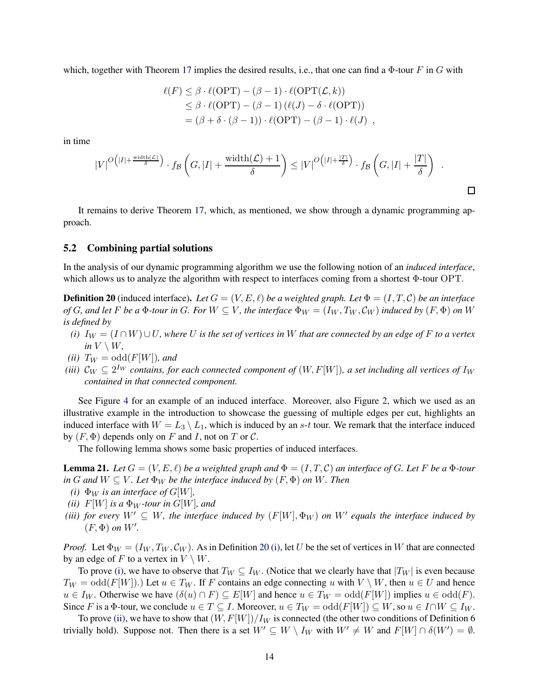which, together with Theorem [17](#page-11-2) implies the desired results, i.e., that one can find a  $\Phi$ -tour F in G with

$$
\ell(F) \leq \beta \cdot \ell(OPT) - (\beta - 1) \cdot \ell(OPT(\mathcal{L}, k))
$$
  
\n
$$
\leq \beta \cdot \ell(OPT) - (\beta - 1) (\ell(J) - \delta \cdot \ell(OPT))
$$
  
\n
$$
= (\beta + \delta \cdot (\beta - 1)) \cdot \ell(OPT) - (\beta - 1) \cdot \ell(J),
$$

in time

$$
|V|^{O(|I|+\frac{\text{width}(\mathcal{L})}{\delta})}\cdot f_{\mathcal{B}}\left(G,|I|+\frac{\text{width}(\mathcal{L})+1}{\delta}\right)\leq |V|^{O(|I|+\frac{|T|}{\delta})}\cdot f_{\mathcal{B}}\left(G,|I|+\frac{|T|}{\delta}\right)\quad\text{and}\quad\Box
$$

It remains to derive Theorem [17,](#page-11-2) which, as mentioned, we show through a dynamic programming approach.

### <span id="page-14-6"></span>5.2 Combining partial solutions

In the analysis of our dynamic programming algorithm we use the following notion of an *induced interface*, which allows us to analyze the algorithm with respect to interfaces coming from a shortest Φ-tour OPT.

<span id="page-14-0"></span>**Definition 20** (induced interface). Let  $G = (V, E, \ell)$  be a weighted graph. Let  $\Phi = (I, T, \mathcal{C})$  be an interface *of* G, and let F be a  $\Phi$ -tour in G. For  $W \subseteq V$ , the interface  $\Phi_W = (I_W, T_W, C_W)$  induced by  $(F, \Phi)$  on W *is defined by*

- <span id="page-14-1"></span> $(i)$  I<sub>W</sub> = (I∩W)∪U, where U is the set of vertices in W that are connected by an edge of F to a vertex *in*  $V \setminus W$ ,
- *(ii)*  $T_W = \text{odd}(F[W])$ *, and*
- *(iii)*  $C_W \subseteq 2^{I_W}$  contains, for each connected component of  $(W, F[W])$ , a set including all vertices of  $I_W$ *contained in that connected component.*

See Figure [4](#page-15-0) for an example of an induced interface. Moreover, also Figure [2,](#page-5-0) which we used as an illustrative example in the introduction to showcase the guessing of multiple edges per cut, highlights an induced interface with  $W = L_3 \setminus L_1$ , which is induced by an s-t tour. We remark that the interface induced by  $(F, \Phi)$  depends only on F and I, not on T or C.

The following lemma shows some basic properties of induced interfaces.

<span id="page-14-5"></span><span id="page-14-2"></span>**Lemma 21.** Let  $G = (V, E, \ell)$  be a weighted graph and  $\Phi = (I, T, \mathcal{C})$  an interface of G. Let F be a  $\Phi$ -tour *in* G and  $W \subseteq V$ . Let  $\Phi_W$  be the interface induced by  $(F, \Phi)$  on W. Then

- <span id="page-14-3"></span>*(i)*  $\Phi_W$  *is an interface of G[W],*
- <span id="page-14-4"></span>*(ii)*  $F[W]$  *is a*  $\Phi_W$ *-tour in G[W], and*
- *(iii) for every*  $W' \subseteq W$ , the interface induced by  $(F[W], \Phi_W)$  on  $W'$  equals the interface induced by  $(F, \Phi)$  *on*  $W'$ .

*Proof.* Let  $\Phi_W = (I_W, T_W, C_W)$ . As in Definition [20](#page-14-0) [\(i\),](#page-14-1) let U be the set of vertices in W that are connected by an edge of F to a vertex in  $V \setminus W$ .

To prove [\(i\),](#page-14-2) we have to observe that  $T_W \subseteq I_W$ . (Notice that we clearly have that  $|T_W|$  is even because  $T_W = \text{odd}(F[W])$ .) Let  $u \in T_W$ . If F contains an edge connecting u with  $V \setminus W$ , then  $u \in U$  and hence  $u \in I_W$ . Otherwise we have  $(\delta(u) \cap F) \subseteq E[W]$  and hence  $u \in T_W = \text{odd}(F[W])$  implies  $u \in \text{odd}(F)$ . Since F is a  $\Phi$ -tour, we conclude  $u \in T \subseteq I$ . Moreover,  $u \in T_W = \text{odd}(F[W]) \subseteq W$ , so  $u \in I \cap W \subseteq I_W$ .

To prove [\(ii\),](#page-14-3) we have to show that  $(W, F[W])/I_W$  is connected (the other two conditions of Definition [6](#page-6-0) trivially hold). Suppose not. Then there is a set  $W' \subseteq W \setminus I_W$  with  $W' \neq W$  and  $F[W] \cap \delta(W') = \emptyset$ .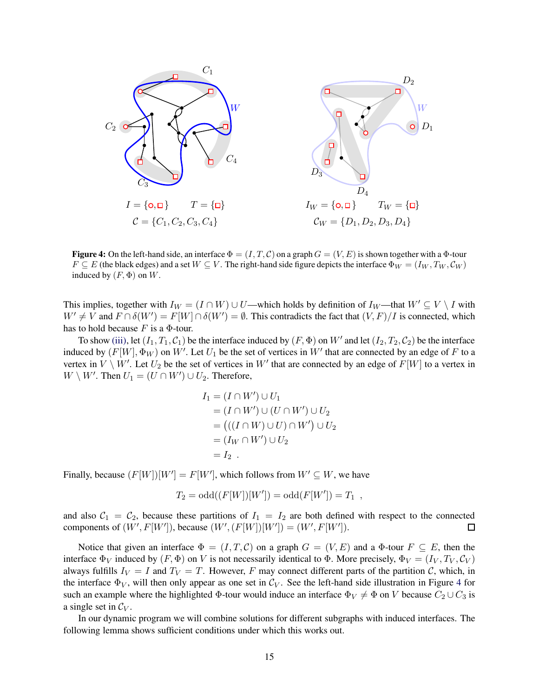<span id="page-15-0"></span>

**Figure 4:** On the left-hand side, an interface  $\Phi = (I, T, C)$  on a graph  $G = (V, E)$  is shown together with a  $\Phi$ -tour  $F \subseteq E$  (the black edges) and a set  $W \subseteq V$ . The right-hand side figure depicts the interface  $\Phi_W = (I_W, T_W, C_W)$ induced by  $(F, \Phi)$  on W.

This implies, together with  $I_W = (I \cap W) \cup U$ —which holds by definition of  $I_W$ —that  $W' \subseteq V \setminus I$  with  $W' \neq V$  and  $F \cap \delta(W') = F[W] \cap \delta(W') = \emptyset$ . This contradicts the fact that  $(V, F)/I$  is connected, which has to hold because  $F$  is a  $\Phi$ -tour.

To show [\(iii\),](#page-14-4) let  $(I_1, T_1, C_1)$  be the interface induced by  $(F, \Phi)$  on  $W'$  and let  $(I_2, T_2, C_2)$  be the interface induced by  $(F[W], \Phi_W)$  on  $W'$ . Let  $U_1$  be the set of vertices in  $W'$  that are connected by an edge of  $F$  to a vertex in  $V \setminus W'$ . Let  $U_2$  be the set of vertices in  $W'$  that are connected by an edge of  $F[W]$  to a vertex in  $W \setminus W'$ . Then  $U_1 = (U \cap W') \cup U_2$ . Therefore,

$$
I_1 = (I \cap W') \cup U_1
$$
  
=  $(I \cap W') \cup (U \cap W') \cup U_2$   
=  $((I \cap W) \cup U) \cap W') \cup U_2$   
=  $(I_W \cap W') \cup U_2$   
=  $I_2$ .

Finally, because  $(F[W])[W']=F[W'],$  which follows from  $W'\subseteq W$ , we have

$$
T_2 = \text{odd}((F[W])[W']) = \text{odd}(F[W']) = T_1 ,
$$

and also  $C_1 = C_2$ , because these partitions of  $I_1 = I_2$  are both defined with respect to the connected components of  $(W', F[W'])$ , because  $(W', (F[W])[W']) = (W', F[W'])$ .  $\Box$ 

Notice that given an interface  $\Phi = (I, T, C)$  on a graph  $G = (V, E)$  and a  $\Phi$ -tour  $F \subseteq E$ , then the interface  $\Phi_V$  induced by  $(F, \Phi)$  on V is not necessarily identical to  $\Phi$ . More precisely,  $\Phi_V = (I_V, T_V, C_V)$ always fulfills  $I_V = I$  and  $T_V = T$ . However, F may connect different parts of the partition C, which, in the interface  $\Phi_V$ , will then only appear as one set in  $\mathcal{C}_V$ . See the left-hand side illustration in Figure [4](#page-15-0) for such an example where the highlighted  $\Phi$ -tour would induce an interface  $\Phi_V \neq \Phi$  on V because  $C_2 \cup C_3$  is a single set in  $\mathcal{C}_V$ .

In our dynamic program we will combine solutions for different subgraphs with induced interfaces. The following lemma shows sufficient conditions under which this works out.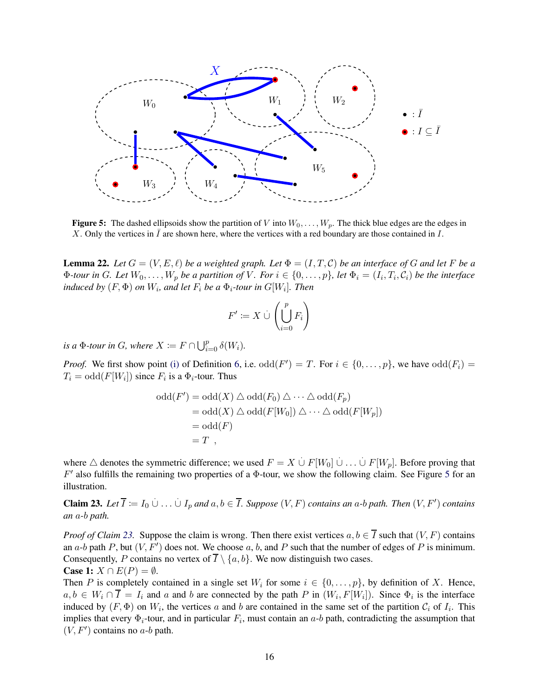<span id="page-16-0"></span>

**Figure 5:** The dashed ellipsoids show the partition of V into  $W_0, \ldots, W_p$ . The thick blue edges are the edges in X. Only the vertices in  $\bar{I}$  are shown here, where the vertices with a red boundary are those contained in  $\bar{I}$ .

<span id="page-16-2"></span>**Lemma 22.** Let  $G = (V, E, \ell)$  be a weighted graph. Let  $\Phi = (I, T, C)$  be an interface of G and let F be a  $\Phi$ *-tour in G. Let*  $W_0, \ldots, W_p$  *be a partition of V. For*  $i \in \{0, \ldots, p\}$ *, let*  $\Phi_i = (I_i, T_i, C_i)$  *be the interface*  $i$ nduced by  $(F, \Phi)$  on  $W_i$ , and let  $F_i$  be a  $\Phi_i$ -tour in  $G[W_i]$ . Then

$$
F' \coloneqq X \cup \left(\bigcup_{i=0}^p F_i\right)
$$

*is a*  $\Phi$ *-tour in G, where*  $X \coloneqq F \cap \bigcup_{i=0}^p \delta(W_i)$ *.* 

*Proof.* We first show point [\(i\)](#page-6-2) of Definition [6,](#page-6-0) i.e.  $odd(F') = T$ . For  $i \in \{0, ..., p\}$ , we have  $odd(F_i) = T$  $T_i = \text{odd}(F[W_i])$  since  $F_i$  is a  $\Phi_i$ -tour. Thus

$$
odd(F') = odd(X) \triangle odd(F_0) \triangle \cdots \triangle odd(F_p)
$$
  
= odd(X)  $\triangle$  odd(F[W\_0])  $\triangle \cdots \triangle odd(F[W_p])$   
= odd(F)  
= T,

where  $\triangle$  denotes the symmetric difference; we used  $F = X \cup F[W_0] \cup ... \cup F[W_p]$ . Before proving that  $F'$  also fulfills the remaining two properties of a  $\Phi$ -tour, we show the following claim. See Figure [5](#page-16-0) for an illustration.

<span id="page-16-1"></span>**Claim 23.** Let  $\overline{I} := I_0 \cup ... \cup I_p$  and  $a, b \in \overline{I}$ . Suppose  $(V, F)$  contains an a-b path. Then  $(V, F')$  contains *an* a*-*b *path.*

*Proof of Claim* [23.](#page-16-1) Suppose the claim is wrong. Then there exist vertices  $a, b \in \overline{I}$  such that  $(V, F)$  contains an a-b path P, but  $(V, F')$  does not. We choose a, b, and P such that the number of edges of P is minimum. Consequently, P contains no vertex of  $\overline{I} \setminus \{a, b\}$ . We now distinguish two cases. **Case 1:**  $X \cap E(P) = \emptyset$ .

Then P is completely contained in a single set  $W_i$  for some  $i \in \{0, \ldots, p\}$ , by definition of X. Hence,  $a, b \in W_i \cap I = I_i$  and a and b are connected by the path P in  $(W_i, F[W_i])$ . Since  $\Phi_i$  is the interface induced by  $(F, \Phi)$  on  $W_i$ , the vertices a and b are contained in the same set of the partition  $C_i$  of  $I_i$ . This implies that every  $\Phi_i$ -tour, and in particular  $F_i$ , must contain an  $a$ -b path, contradicting the assumption that  $(V, F')$  contains no  $a$ -b path.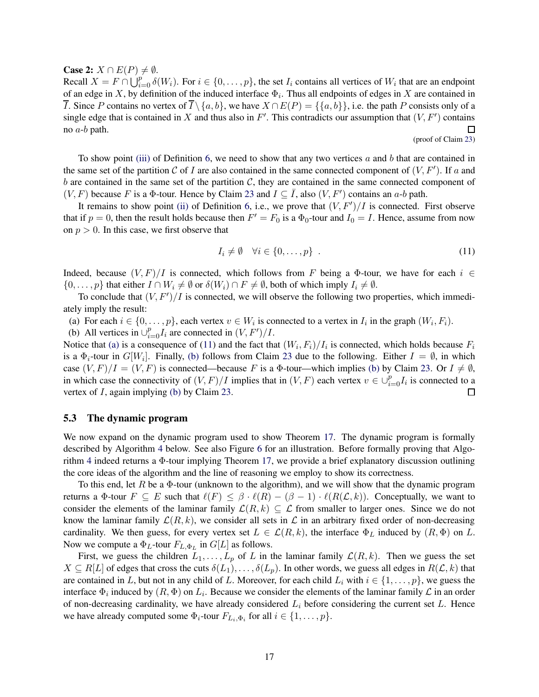**Case 2:**  $X \cap E(P) \neq \emptyset$ .

Recall  $X = F \cap \bigcup_{i=0}^{p} \delta(W_i)$ . For  $i \in \{0, \dots, p\}$ , the set  $I_i$  contains all vertices of  $W_i$  that are an endpoint of an edge in X, by definition of the induced interface  $\Phi_i$ . Thus all endpoints of edges in X are contained in *I*. Since P contains no vertex of  $\overline{I} \setminus \{a, b\}$ , we have  $X \cap E(P) = \{\{a, b\}\}\$ , i.e. the path P consists only of a single edge that is contained in X and thus also in F'. This contradicts our assumption that  $(V, F')$  contains no a-b path.  $\Box$ 

(proof of Claim [23\)](#page-16-1)

To show point [\(iii\)](#page-6-3) of Definition [6,](#page-6-0) we need to show that any two vertices  $a$  and  $b$  that are contained in the same set of the partition C of I are also contained in the same connected component of  $(V, F')$ . If a and b are contained in the same set of the partition  $C$ , they are contained in the same connected component of  $(V, F)$  because F is a  $\Phi$ -tour. Hence by Claim [23](#page-16-1) and  $I \subseteq \overline{I}$ , also  $(V, F')$  contains an a-b path.

It remains to show point [\(ii\)](#page-6-4) of Definition [6,](#page-6-0) i.e., we prove that  $(V, F')/I$  is connected. First observe that if  $p = 0$ , then the result holds because then  $F' = F_0$  is a  $\Phi_0$ -tour and  $I_0 = I$ . Hence, assume from now on  $p > 0$ . In this case, we first observe that

<span id="page-17-1"></span>
$$
I_i \neq \emptyset \quad \forall i \in \{0, \dots, p\} \tag{11}
$$

Indeed, because  $(V, F)/I$  is connected, which follows from F being a  $\Phi$ -tour, we have for each  $i \in$  $\{0,\ldots,p\}$  that either  $I \cap W_i \neq \emptyset$  or  $\delta(W_i) \cap F \neq \emptyset$ , both of which imply  $I_i \neq \emptyset$ .

<span id="page-17-0"></span>To conclude that  $(V, F')/I$  is connected, we will observe the following two properties, which immediately imply the result:

<span id="page-17-2"></span>(a) For each  $i \in \{0, \ldots, p\}$ , each vertex  $v \in W_i$  is connected to a vertex in  $I_i$  in the graph  $(W_i, F_i)$ .

(b) All vertices in  $\bigcup_{i=0}^{p} I_i$  are connected in  $(V, F')/I$ .

Notice that [\(a\)](#page-17-0) is a consequence of [\(11\)](#page-17-1) and the fact that  $(W_i, F_i)/I_i$  is connected, which holds because  $F_i$ is a  $\Phi_i$ -tour in  $G[W_i]$ . Finally, [\(b\)](#page-17-2) follows from Claim [23](#page-16-1) due to the following. Either  $I = \emptyset$ , in which case  $(V, F)/I = (V, F)$  is connected—because F is a  $\Phi$ -tour—which implies [\(b\)](#page-17-2) by Claim [23.](#page-16-1) Or  $I \neq \emptyset$ , in which case the connectivity of  $(V, F)/I$  implies that in  $(V, F)$  each vertex  $v \in \bigcup_{i=0}^{p} I_i$  is connected to a vertex of I, again implying [\(b\)](#page-17-2) by Claim [23.](#page-16-1)  $\Box$ 

### 5.3 The dynamic program

We now expand on the dynamic program used to show Theorem [17.](#page-11-2) The dynamic program is formally described by Algorithm [4](#page-19-0) below. See also Figure [6](#page-18-0) for an illustration. Before formally proving that Algorithm [4](#page-19-0) indeed returns a Φ-tour implying Theorem [17,](#page-11-2) we provide a brief explanatory discussion outlining the core ideas of the algorithm and the line of reasoning we employ to show its correctness.

To this end, let R be a  $\Phi$ -tour (unknown to the algorithm), and we will show that the dynamic program returns a  $\Phi$ -tour  $F \subseteq E$  such that  $\ell(F) \leq \beta \cdot \ell(R) - (\beta - 1) \cdot \ell(R(\mathcal{L}, k))$ . Conceptually, we want to consider the elements of the laminar family  $\mathcal{L}(R, k) \subseteq \mathcal{L}$  from smaller to larger ones. Since we do not know the laminar family  $\mathcal{L}(R, k)$ , we consider all sets in  $\mathcal L$  in an arbitrary fixed order of non-decreasing cardinality. We then guess, for every vertex set  $L \in \mathcal{L}(R, k)$ , the interface  $\Phi_L$  induced by  $(R, \Phi)$  on L. Now we compute a  $\Phi_L$ -tour  $F_{L,\Phi_L}$  in  $G[L]$  as follows.

First, we guess the children  $L_1, \ldots, L_p$  of L in the laminar family  $\mathcal{L}(R, k)$ . Then we guess the set  $X \subseteq R[L]$  of edges that cross the cuts  $\delta(L_1), \ldots, \delta(L_p)$ . In other words, we guess all edges in  $R(\mathcal{L}, k)$  that are contained in L, but not in any child of L. Moreover, for each child  $L_i$  with  $i \in \{1, \ldots, p\}$ , we guess the interface  $\Phi_i$  induced by  $(R, \Phi)$  on  $L_i$ . Because we consider the elements of the laminar family  ${\cal L}$  in an order of non-decreasing cardinality, we have already considered  $L_i$  before considering the current set  $L$ . Hence we have already computed some  $\Phi_i$ -tour  $F_{L_i, \Phi_i}$  for all  $i \in \{1, \ldots, p\}$ .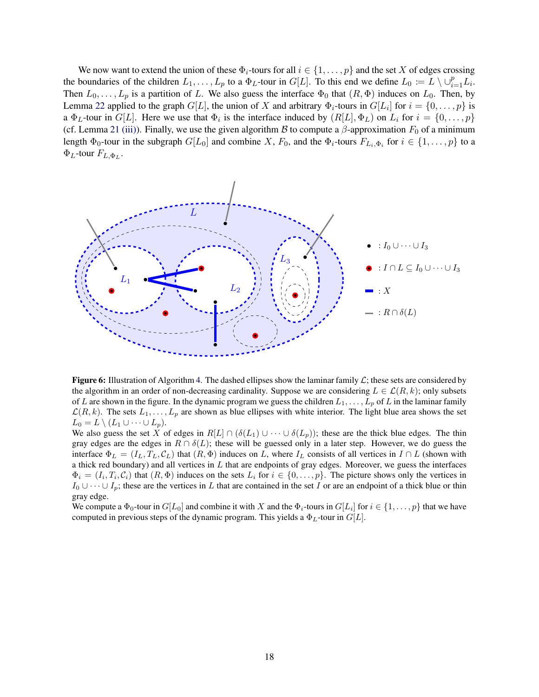We now want to extend the union of these  $\Phi_i$ -tours for all  $i \in \{1, \ldots, p\}$  and the set X of edges crossing the boundaries of the children  $L_1, \ldots, L_p$  to a  $\Phi_L$ -tour in  $G[L]$ . To this end we define  $L_0 := L \setminus \cup_{i=1}^p L_i$ . Then  $L_0, \ldots, L_p$  is a partition of L. We also guess the interface  $\Phi_0$  that  $(R, \Phi)$  induces on  $L_0$ . Then, by Lemma [22](#page-16-2) applied to the graph  $G[L]$ , the union of X and arbitrary  $\Phi_i$ -tours in  $G[L_i]$  for  $i = \{0, \ldots, p\}$  is a  $\Phi_L$ -tour in  $G[L]$ . Here we use that  $\Phi_i$  is the interface induced by  $(R[L], \Phi_L)$  on  $L_i$  for  $i = \{0, \ldots, p\}$ (cf. Lemma [21](#page-14-5) [\(iii\)\)](#page-14-4). Finally, we use the given algorithm B to compute a  $\beta$ -approximation  $F_0$  of a minimum length  $\Phi_0$ -tour in the subgraph  $G[L_0]$  and combine X,  $F_0$ , and the  $\Phi_i$ -tours  $F_{L_i,\Phi_i}$  for  $i \in \{1,\ldots,p\}$  to a  $\Phi_L$ -tour  $F_{L,\Phi_L}$ .

<span id="page-18-0"></span>

**Figure 6:** Illustration of Algorithm [4.](#page-19-0) The dashed ellipses show the laminar family  $\mathcal{L}$ ; these sets are considered by the algorithm in an order of non-decreasing cardinality. Suppose we are considering  $L \in \mathcal{L}(R, k)$ ; only subsets of L are shown in the figure. In the dynamic program we guess the children  $L_1, \ldots, L_p$  of L in the laminar family  $\mathcal{L}(R, k)$ . The sets  $L_1, \ldots, L_p$  are shown as blue ellipses with white interior. The light blue area shows the set  $L_0 = L \setminus (L_1 \cup \cdots \cup L_p).$ 

We also guess the set X of edges in  $R[L] \cap (\delta(L_1) \cup \cdots \cup \delta(L_p))$ ; these are the thick blue edges. The thin gray edges are the edges in  $R \cap \delta(L)$ ; these will be guessed only in a later step. However, we do guess the interface  $\Phi_L = (I_L, T_L, C_L)$  that  $(R, \Phi)$  induces on L, where  $I_L$  consists of all vertices in  $I \cap L$  (shown with a thick red boundary) and all vertices in  $L$  that are endpoints of gray edges. Moreover, we guess the interfaces  $\Phi_i = (I_i, T_i, C_i)$  that  $(R, \Phi)$  induces on the sets  $L_i$  for  $i \in \{0, \ldots, p\}$ . The picture shows only the vertices in  $I_0 \cup \cdots \cup I_p$ ; these are the vertices in L that are contained in the set I or are an endpoint of a thick blue or thin gray edge.

We compute a  $\Phi_0$ -tour in  $G[L_0]$  and combine it with X and the  $\Phi_i$ -tours in  $G[L_i]$  for  $i \in \{1, \ldots, p\}$  that we have computed in previous steps of the dynamic program. This yields a  $\Phi_L$ -tour in  $G[L]$ .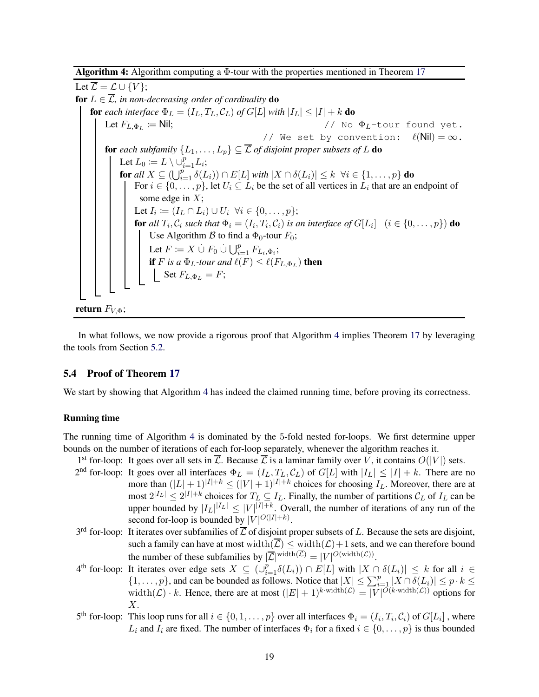Algorithm 4: Algorithm computing a Φ-tour with the properties mentioned in Theorem [17](#page-11-2)

Let  $\overline{\mathcal{L}} = \mathcal{L} \cup \{V\};$ for  $L \in \overline{\mathcal{L}}$ , in non-decreasing order of cardinality **do for** each interface  $\Phi_L = (I_L, T_L, C_L)$  of  $G[L]$  with  $|I_L| \leq |I| + k$  **do** Let  $F_{L,\Phi_L} \coloneqq$  Nil;  $\sqrt{1/N}$  No  $\Phi_L$ -tour found yet. // We set by convention:  $\ell(Nil) = \infty$ . for *each subfamily*  $\{L_1, \ldots, L_p\} \subseteq \overline{\mathcal{L}}$  *of disjoint proper subsets of* L **do** Let  $L_0 \coloneqq L \setminus \cup_{i=1}^p L_i$ ; for all  $X \subseteq (\bigcup_{i=1}^p \delta(L_i)) \cap E[L]$  *with*  $|X \cap \delta(L_i)| \leq k \ \ \forall i \in \{1, \ldots, p\}$  do For  $i \in \{0, \ldots, p\}$ , let  $U_i \subseteq L_i$  be the set of all vertices in  $L_i$  that are an endpoint of some edge in  $X$ ; Let  $I_i \coloneqq (I_L \cap L_i) \cup U_i \ \ \forall i \in \{0, \dots, p\};$ for all  $T_i$ ,  $\mathcal{C}_i$  such that  $\Phi_i=(I_i,T_i,\mathcal{C}_i)$  is an interface of  $G[L_i] \ \ (i\in\{0,\ldots,p\})$  do Use Algorithm  $\beta$  to find a  $\Phi_0$ -tour  $F_0$ ; Let  $F \coloneqq X \cup F_0 \cup \bigcup_{i=1}^p F_{L_i, \Phi_i};$ **if** F is a  $\Phi_L$ -tour and  $\ell(F) \leq \ell(F_{L,\Phi_L})$  **then** Set  $F_{L,\Phi_L} = F;$ return  $F_{V,\Phi}$ ;

<span id="page-19-0"></span>In what follows, we now provide a rigorous proof that Algorithm [4](#page-19-0) implies Theorem [17](#page-11-2) by leveraging the tools from Section [5.2.](#page-14-6)

### 5.4 Proof of Theorem [17](#page-11-2)

We start by showing that Algorithm [4](#page-19-0) has indeed the claimed running time, before proving its correctness.

#### Running time

The running time of Algorithm [4](#page-19-0) is dominated by the 5-fold nested for-loops. We first determine upper bounds on the number of iterations of each for-loop separately, whenever the algorithm reaches it.

- 1<sup>st</sup> for-loop: It goes over all sets in  $\overline{\mathcal{L}}$ . Because  $\overline{\mathcal{L}}$  is a laminar family over V, it contains  $O(|V|)$  sets.
- $2<sup>nd</sup>$  for-loop: It goes over all interfaces  $\Phi_L = (I_L, T_L, C_L)$  of  $G[L]$  with  $|I_L| \leq |I| + k$ . There are no more than  $(|L|+1)^{|I|+k} \leq (|V|+1)^{|I|+k}$  choices for choosing  $I_L$ . Moreover, there are at most  $2^{|I_L|} \leq 2^{|I|+k}$  choices for  $T_L \subseteq I_L$ . Finally, the number of partitions  $\mathcal{C}_L$  of  $I_L$  can be upper bounded by  $|I_L|^{ |I_L| } \leq |V|^{ |I| + k }$ . Overall, the number of iterations of any run of the second for-loop is bounded by  $|V|^{O(|I|+k)}$ .
- $3<sup>rd</sup>$  for-loop: It iterates over subfamilies of  $\overline{L}$  of disjoint proper subsets of L. Because the sets are disjoint, such a family can have at most width $(\overline{\mathcal{L}}) \leq$  width $(\mathcal{L})+1$  sets, and we can therefore bound the number of these subfamilies by  $|\overline{\mathcal{L}}|^{width(\mathcal{L})} = |V|^{O(width(\mathcal{L}))}$ .
- $4^{\text{th}}$  for-loop: It iterates over edge sets  $X \subseteq (\cup_{i=1}^p \delta(L_i)) \cap E[L]$  with  $|X \cap \delta(L_i)| \leq k$  for all  $i \in$  $\{1,\ldots,p\}$ , and can be bounded as follows. Notice that  $|X| \leq \sum_{i=1}^{p} |X \cap \delta(L_i)| \leq p \cdot k \leq$ width $(\mathcal{L}) \cdot k$ . Hence, there are at most  $(|E| + 1)^{k \cdot \text{width}(\mathcal{L})} = |V|^{O(k \cdot \text{width}(\mathcal{L}))}$  options for  $X$ .
- 5<sup>th</sup> for-loop: This loop runs for all  $i \in \{0, 1, ..., p\}$  over all interfaces  $\Phi_i = (I_i, T_i, C_i)$  of  $G[L_i]$ , where  $L_i$  and  $I_i$  are fixed. The number of interfaces  $\Phi_i$  for a fixed  $i \in \{0, \ldots, p\}$  is thus bounded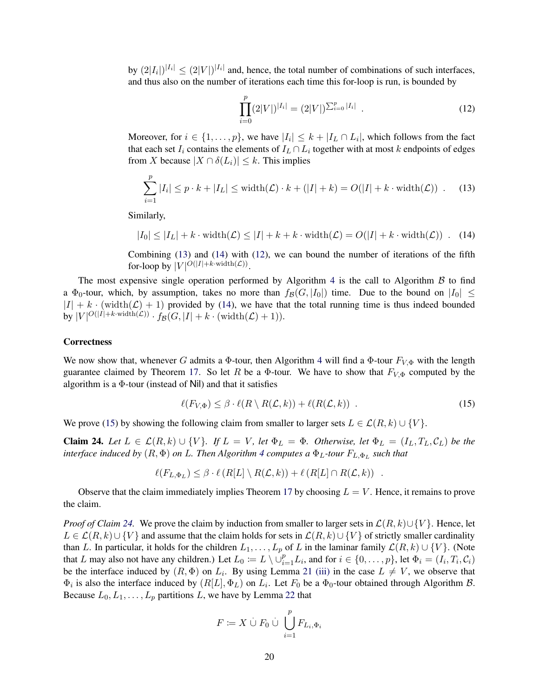by  $(2|I_i|)^{|I_i|} \leq (2|V|)^{|I_i|}$  and, hence, the total number of combinations of such interfaces, and thus also on the number of iterations each time this for-loop is run, is bounded by

<span id="page-20-2"></span>
$$
\prod_{i=0}^{p} (2|V|)^{|I_i|} = (2|V|)^{\sum_{i=0}^{p} |I_i|} . \tag{12}
$$

Moreover, for  $i \in \{1, \ldots, p\}$ , we have  $|I_i| \leq k + |I_L \cap L_i|$ , which follows from the fact that each set  $I_i$  contains the elements of  $I_L \cap L_i$  together with at most k endpoints of edges from X because  $|X \cap \delta(L_i)| \leq k$ . This implies

<span id="page-20-0"></span>
$$
\sum_{i=1}^{p} |I_i| \le p \cdot k + |I_L| \le \text{width}(\mathcal{L}) \cdot k + (|I| + k) = O(|I| + k \cdot \text{width}(\mathcal{L})) \tag{13}
$$

Similarly,

<span id="page-20-1"></span>
$$
|I_0| \le |I_L| + k \cdot \text{width}(\mathcal{L}) \le |I| + k + k \cdot \text{width}(\mathcal{L}) = O(|I| + k \cdot \text{width}(\mathcal{L})) \quad (14)
$$

Combining [\(13\)](#page-20-0) and [\(14\)](#page-20-1) with [\(12\)](#page-20-2), we can bound the number of iterations of the fifth for-loop by  $|V|^{O(|I|+k \cdot \text{width}(\mathcal{L}))}$ .

The most expensive single operation performed by Algorithm [4](#page-19-0) is the call to Algorithm  $\beta$  to find a  $\Phi_0$ -tour, which, by assumption, takes no more than  $f_B(G, |I_0|)$  time. Due to the bound on  $|I_0| \leq$  $|I| + k \cdot$  (width $(L) + 1$ ) provided by [\(14\)](#page-20-1), we have that the total running time is thus indeed bounded by  $|V|^{O(|I|+k \cdot \text{width}(\mathcal{L}))} \cdot f_{\mathcal{B}}(G, |I|+k \cdot (\text{width}(\mathcal{L})+1)).$ 

#### **Correctness**

We now show that, whenever G admits a  $\Phi$ -tour, then Algorithm [4](#page-19-0) will find a  $\Phi$ -tour  $F_{V,\Phi}$  with the length guarantee claimed by Theorem [17.](#page-11-2) So let R be a Φ-tour. We have to show that  $F_{V,\Phi}$  computed by the algorithm is a  $\Phi$ -tour (instead of Nil) and that it satisfies

<span id="page-20-3"></span>
$$
\ell(F_{V,\Phi}) \leq \beta \cdot \ell(R \setminus R(\mathcal{L},k)) + \ell(R(\mathcal{L},k)) \tag{15}
$$

We prove [\(15\)](#page-20-3) by showing the following claim from smaller to larger sets  $L \in \mathcal{L}(R, k) \cup \{V\}$ .

<span id="page-20-4"></span>Claim 24. *Let*  $L \in \mathcal{L}(R,k) \cup \{V\}$ . *If*  $L = V$ *, let*  $\Phi_L = \Phi$ *. Otherwise, let*  $\Phi_L = (I_L, T_L, C_L)$  *be the interface induced by*  $(R, \Phi)$  *on L. Then Algorithm [4](#page-19-0) computes a*  $\Phi_L$ -tour  $F_{L, \Phi_L}$  such that

$$
\ell(F_{L,\Phi_L}) \leq \beta \cdot \ell(R[L] \setminus R(\mathcal{L},k)) + \ell(R[L] \cap R(\mathcal{L},k)) .
$$

Observe that the claim immediately implies Theorem [17](#page-11-2) by choosing  $L = V$ . Hence, it remains to prove the claim.

*Proof of Claim* [24.](#page-20-4) We prove the claim by induction from smaller to larger sets in  $\mathcal{L}(R, k) \cup \{V\}$ . Hence, let  $L \in \mathcal{L}(R, k) \cup \{V\}$  and assume that the claim holds for sets in  $\mathcal{L}(R, k) \cup \{V\}$  of strictly smaller cardinality than L. In particular, it holds for the children  $L_1, \ldots, L_p$  of L in the laminar family  $\mathcal{L}(R, k) \cup \{V\}$ . (Note that L may also not have any children.) Let  $L_0 := L \setminus \dot{\cup}_{i=1}^p L_i$ , and for  $i \in \{0, \ldots, p\}$ , let  $\Phi_i = (I_i, T_i, C_i)$ be the interface induced by  $(R, \Phi)$  on  $L_i$ . By using Lemma [21](#page-14-5) [\(iii\)](#page-14-4) in the case  $L \neq V$ , we observe that  $\Phi_i$  is also the interface induced by  $(R[L], \Phi_L)$  on  $L_i$ . Let  $F_0$  be a  $\Phi_0$ -tour obtained through Algorithm  $\mathcal{B}$ . Because  $L_0, L_1, \ldots, L_p$  partitions L, we have by Lemma [22](#page-16-2) that

$$
F \coloneqq X \stackrel{.}{\cup} F_0 \stackrel{.}{\cup} \bigcup_{i=1}^p F_{L_i,\Phi_i}
$$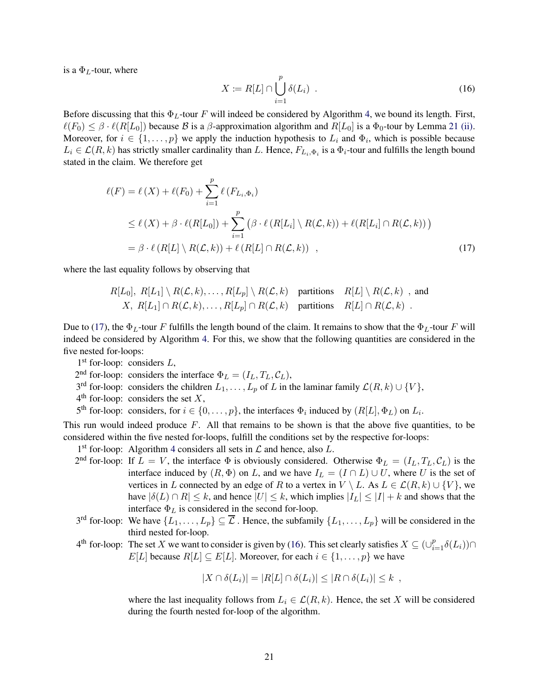is a  $\Phi_L$ -tour, where

<span id="page-21-1"></span><span id="page-21-0"></span>
$$
X := R[L] \cap \bigcup_{i=1}^{p} \delta(L_i) \quad . \tag{16}
$$

Before discussing that this  $\Phi_L$ -tour F will indeed be considered by Algorithm [4,](#page-19-0) we bound its length. First,  $\ell(F_0) \leq \beta \cdot \ell(R[L_0])$  because  $\beta$  is a  $\beta$ -approximation algorithm and  $R[L_0]$  is a  $\Phi_0$ -tour by Lemma [21](#page-14-5) [\(ii\).](#page-14-3) Moreover, for  $i \in \{1, \ldots, p\}$  we apply the induction hypothesis to  $L_i$  and  $\Phi_i$ , which is possible because  $L_i \in \mathcal{L}(R,k)$  has strictly smaller cardinality than L. Hence,  $F_{L_i,\Phi_i}$  is a  $\Phi_i$ -tour and fulfills the length bound stated in the claim. We therefore get

$$
\ell(F) = \ell(X) + \ell(F_0) + \sum_{i=1}^p \ell(F_{L_i, \Phi_i})
$$
  
\n
$$
\leq \ell(X) + \beta \cdot \ell(R[L_0]) + \sum_{i=1}^p (\beta \cdot \ell(R[L_i] \setminus R(\mathcal{L}, k)) + \ell(R[L_i] \cap R(\mathcal{L}, k)))
$$
  
\n
$$
= \beta \cdot \ell(R[L] \setminus R(\mathcal{L}, k)) + \ell(R[L] \cap R(\mathcal{L}, k)) , \qquad (17)
$$

where the last equality follows by observing that

$$
R[L_0], R[L_1] \setminus R(\mathcal{L}, k), \ldots, R[L_p] \setminus R(\mathcal{L}, k)
$$
 partitions  $R[L] \setminus R(\mathcal{L}, k)$ , and   
*X*,  $R[L_1] \cap R(\mathcal{L}, k), \ldots, R[L_p] \cap R(\mathcal{L}, k)$  partitions  $R[L] \cap R(\mathcal{L}, k)$ .

Due to [\(17\)](#page-21-0), the  $\Phi_L$ -tour F fulfills the length bound of the claim. It remains to show that the  $\Phi_L$ -tour F will indeed be considered by Algorithm [4.](#page-19-0) For this, we show that the following quantities are considered in the five nested for-loops:

1<sup>st</sup> for-loop: considers L,

 $2<sup>nd</sup>$  for-loop: considers the interface  $\Phi_L = (I_L, T_L, C_L)$ ,

3<sup>rd</sup> for-loop: considers the children  $L_1, \ldots, L_p$  of L in the laminar family  $\mathcal{L}(R, k) \cup \{V\}$ ,

 $4<sup>th</sup>$  for-loop: considers the set X,

5<sup>th</sup> for-loop: considers, for  $i \in \{0, ..., p\}$ , the interfaces  $\Phi_i$  induced by  $(R[L], \Phi_L)$  on  $L_i$ .

This run would indeed produce  $F$ . All that remains to be shown is that the above five quantities, to be considered within the five nested for-loops, fulfill the conditions set by the respective for-loops:

1<sup>st</sup> for-loop: Algorithm [4](#page-19-0) considers all sets in  $\mathcal L$  and hence, also  $L$ .

- 2<sup>nd</sup> for-loop: If  $L = V$ , the interface  $\Phi$  is obviously considered. Otherwise  $\Phi_L = (I_L, T_L, C_L)$  is the interface induced by  $(R, \Phi)$  on L, and we have  $I_L = (I \cap L) \cup U$ , where U is the set of vertices in L connected by an edge of R to a vertex in  $V \setminus L$ . As  $L \in \mathcal{L}(R, k) \cup \{V\}$ , we have  $|\delta(L) \cap R| \leq k$ , and hence  $|U| \leq k$ , which implies  $|I_L| \leq |I| + k$  and shows that the interface  $\Phi_L$  is considered in the second for-loop.
- 3<sup>rd</sup> for-loop: We have  $\{L_1,\ldots,L_p\}\subseteq\overline{\mathcal{L}}$  . Hence, the subfamily  $\{L_1,\ldots,L_p\}$  will be considered in the third nested for-loop.
- $4^{\text{th}}$  for-loop: The set X we want to consider is given by [\(16\)](#page-21-1). This set clearly satisfies  $X \subseteq (\cup_{i=1}^p \delta(L_i)) \cap$  $E[L]$  because  $R[L] \subseteq E[L]$ . Moreover, for each  $i \in \{1, \ldots, p\}$  we have

$$
|X \cap \delta(L_i)| = |R[L] \cap \delta(L_i)| \leq |R \cap \delta(L_i)| \leq k ,
$$

where the last inequality follows from  $L_i \in \mathcal{L}(R, k)$ . Hence, the set X will be considered during the fourth nested for-loop of the algorithm.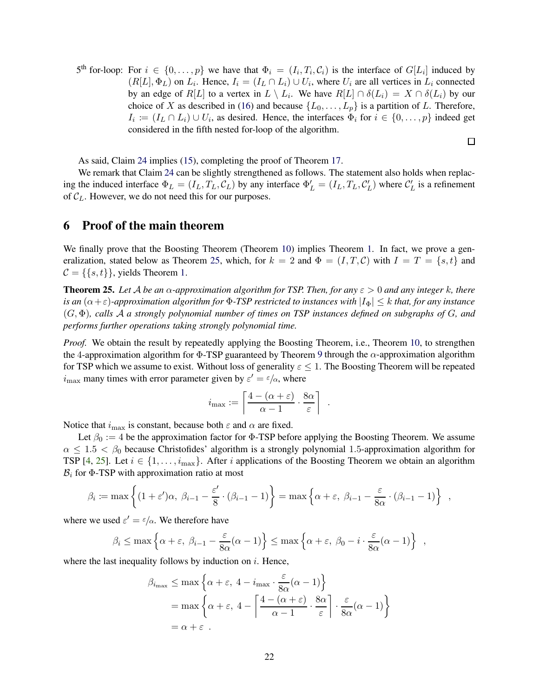5<sup>th</sup> for-loop: For  $i \in \{0, \ldots, p\}$  we have that  $\Phi_i = (I_i, T_i, C_i)$  is the interface of  $G[L_i]$  induced by  $(R[L], \Phi_L)$  on  $L_i$ . Hence,  $I_i = (I_L \cap L_i) \cup U_i$ , where  $U_i$  are all vertices in  $L_i$  connected by an edge of  $R[L]$  to a vertex in  $L \setminus L_i$ . We have  $R[L] \cap \delta(L_i) = X \cap \delta(L_i)$  by our choice of X as described in [\(16\)](#page-21-1) and because  $\{L_0, \ldots, L_p\}$  is a partition of L. Therefore,  $I_i := (I_L \cap L_i) \cup U_i$ , as desired. Hence, the interfaces  $\Phi_i$  for  $i \in \{0, ..., p\}$  indeed get considered in the fifth nested for-loop of the algorithm.

口

As said, Claim [24](#page-20-4) implies [\(15\)](#page-20-3), completing the proof of Theorem [17.](#page-11-2)

We remark that Claim [24](#page-20-4) can be slightly strengthened as follows. The statement also holds when replacing the induced interface  $\Phi_L = (I_L, T_L, C_L)$  by any interface  $\Phi'_L = (I_L, T_L, C'_L)$  where  $C'_L$  is a refinement of  $C_L$ . However, we do not need this for our purposes.

### <span id="page-22-1"></span>6 Proof of the main theorem

We finally prove that the Boosting Theorem (Theorem [10\)](#page-7-4) implies Theorem [1.](#page-1-0) In fact, we prove a gen-eralization, stated below as Theorem [25,](#page-22-0) which, for  $k = 2$  and  $\Phi = (I, T, C)$  with  $I = T = \{s, t\}$  and  $C = \{\{s, t\}\}\$ , yields Theorem [1.](#page-1-0)

<span id="page-22-0"></span>**Theorem 25.** Let A be an  $\alpha$ -approximation algorithm for TSP. Then, for any  $\varepsilon > 0$  and any integer k, there *is an*  $(\alpha + \varepsilon)$ -approximation algorithm for  $\Phi$ -TSP restricted to instances with  $|I_{\Phi}| \leq k$  *that, for any instance* (G, Φ)*, calls* A *a strongly polynomial number of times on TSP instances defined on subgraphs of* G*, and performs further operations taking strongly polynomial time.*

*Proof.* We obtain the result by repeatedly applying the Boosting Theorem, i.e., Theorem [10,](#page-7-4) to strengthen the 4-approximation algorithm for  $\Phi$ -TSP guaranteed by Theorem [9](#page-7-3) through the  $\alpha$ -approximation algorithm for TSP which we assume to exist. Without loss of generality  $\varepsilon \leq 1$ . The Boosting Theorem will be repeated  $i_{\text{max}}$  many times with error parameter given by  $\varepsilon' = \varepsilon/\alpha$ , where

$$
i_{\max} := \left\lceil \frac{4 - (\alpha + \varepsilon)}{\alpha - 1} \cdot \frac{8\alpha}{\varepsilon} \right\rceil
$$

.

Notice that  $i_{\text{max}}$  is constant, because both  $\varepsilon$  and  $\alpha$  are fixed.

Let  $\beta_0 := 4$  be the approximation factor for  $\Phi$ -TSP before applying the Boosting Theorem. We assume  $\alpha \leq 1.5 < \beta_0$  because Christofides' algorithm is a strongly polynomial 1.5-approximation algorithm for TSP [\[4,](#page-27-0) [25\]](#page-28-2). Let  $i \in \{1, \ldots, i_{\text{max}}\}$ . After i applications of the Boosting Theorem we obtain an algorithm  $B_i$  for  $\Phi$ -TSP with approximation ratio at most

$$
\beta_i := \max \left\{ (1+\varepsilon')\alpha, \ \beta_{i-1} - \frac{\varepsilon'}{8} \cdot (\beta_{i-1} - 1) \right\} = \max \left\{ \alpha + \varepsilon, \ \beta_{i-1} - \frac{\varepsilon}{8\alpha} \cdot (\beta_{i-1} - 1) \right\} ,
$$

where we used  $\varepsilon' = \varepsilon/\alpha$ . We therefore have

$$
\beta_i \le \max\left\{\alpha + \varepsilon, \ \beta_{i-1} - \frac{\varepsilon}{8\alpha}(\alpha - 1)\right\} \le \max\left\{\alpha + \varepsilon, \ \beta_0 - i \cdot \frac{\varepsilon}{8\alpha}(\alpha - 1)\right\} ,
$$

where the last inequality follows by induction on  $i$ . Hence,

$$
\beta_{i_{\max}} \le \max \left\{ \alpha + \varepsilon, 4 - i_{\max} \cdot \frac{\varepsilon}{8\alpha} (\alpha - 1) \right\}
$$
  
=  $\max \left\{ \alpha + \varepsilon, 4 - \left\lceil \frac{4 - (\alpha + \varepsilon)}{\alpha - 1} \cdot \frac{8\alpha}{\varepsilon} \right\rceil \cdot \frac{\varepsilon}{8\alpha} (\alpha - 1) \right\}$   
=  $\alpha + \varepsilon$ .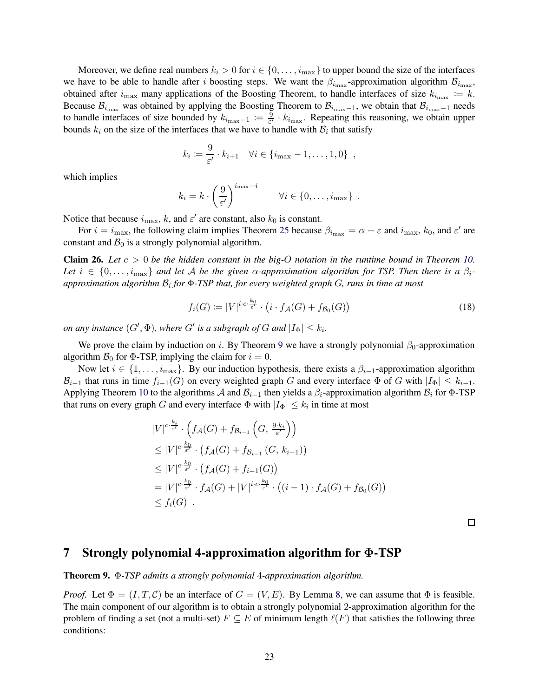Moreover, we define real numbers  $k_i > 0$  for  $i \in \{0, \ldots, i_{\text{max}}\}$  to upper bound the size of the interfaces we have to be able to handle after i boosting steps. We want the  $\beta_{i_{\text{max}}}$ -approximation algorithm  $\beta_{i_{\text{max}}}$ , obtained after  $i_{\max}$  many applications of the Boosting Theorem, to handle interfaces of size  $k_{i_{\max}} := k$ . Because  $\mathcal{B}_{i_{\max}}$  was obtained by applying the Boosting Theorem to  $\mathcal{B}_{i_{\max}-1}$ , we obtain that  $\mathcal{B}_{i_{\max}-1}$  needs to handle interfaces of size bounded by  $k_{i_{\text{max}}-1} := \frac{9}{\varepsilon'}$  $\frac{9}{\epsilon'} \cdot k_{i_{\text{max}}}$ . Repeating this reasoning, we obtain upper bounds  $k_i$  on the size of the interfaces that we have to handle with  $B_i$  that satisfy

$$
k_i := \frac{9}{\varepsilon'} \cdot k_{i+1} \quad \forall i \in \{i_{\max} - 1, \ldots, 1, 0\} \enspace ,
$$

which implies

$$
k_i = k \cdot \left(\frac{9}{\varepsilon'}\right)^{i_{\max}-i} \qquad \forall i \in \{0, \ldots, i_{\max}\}.
$$

Notice that because  $i_{\text{max}}$ , k, and  $\varepsilon'$  are constant, also  $k_0$  is constant.

For  $i = i_{\max}$ , the following claim implies Theorem [25](#page-22-0) because  $\beta_{i_{\max}} = \alpha + \varepsilon$  and  $i_{\max}$ ,  $k_0$ , and  $\varepsilon'$  are constant and  $B_0$  is a strongly polynomial algorithm.

**Claim 26.** Let  $c > 0$  be the hidden constant in the big-O notation in the runtime bound in Theorem [10.](#page-7-4) Let  $i \in \{0, \ldots, i_{\text{max}}\}$  and let A be the given  $\alpha$ -approximation algorithm for TSP. Then there is a  $\beta_i$ *approximation algorithm* B<sup>i</sup> *for* Φ*-TSP that, for every weighted graph* G*, runs in time at most*

$$
f_i(G) \coloneqq |V|^{i \cdot c \cdot \frac{k_0}{\varepsilon'}} \cdot \left( i \cdot f_{\mathcal{A}}(G) + f_{\mathcal{B}_0}(G) \right) \tag{18}
$$

*on any instance*  $(G', \Phi)$ *, where*  $G'$  *is a subgraph of*  $G$  *and*  $|I_{\Phi}| \leq k_i$ *.* 

We prove the claim by induction on i. By Theorem [9](#page-7-3) we have a strongly polynomial  $\beta_0$ -approximation algorithm  $\mathcal{B}_0$  for  $\Phi$ -TSP, implying the claim for  $i = 0$ .

Now let  $i \in \{1, \ldots, i_{\max}\}.$  By our induction hypothesis, there exists a  $\beta_{i-1}$ -approximation algorithm  $\mathcal{B}_{i-1}$  that runs in time  $f_{i-1}(G)$  on every weighted graph G and every interface  $\Phi$  of G with  $|I_{\Phi}| \leq k_{i-1}$ . Applying Theorem [10](#page-7-4) to the algorithms A and  $\mathcal{B}_{i-1}$  then yields a  $\beta_i$ -approximation algorithm  $\mathcal{B}_i$  for  $\Phi$ -TSP that runs on every graph G and every interface  $\Phi$  with  $|I_{\Phi}| \leq k_i$  in time at most

$$
|V|^{c\cdot\frac{k_i}{\varepsilon'}} \cdot \left(f_{\mathcal{A}}(G) + f_{\mathcal{B}_{i-1}}\left(G, \frac{9\cdot k_i}{\varepsilon'}\right)\right)
$$
  
\n
$$
\leq |V|^{c\cdot\frac{k_0}{\varepsilon'}} \cdot \left(f_{\mathcal{A}}(G) + f_{\mathcal{B}_{i-1}}(G, k_{i-1})\right)
$$
  
\n
$$
\leq |V|^{c\cdot\frac{k_0}{\varepsilon'}} \cdot \left(f_{\mathcal{A}}(G) + f_{i-1}(G)\right)
$$
  
\n
$$
= |V|^{c\cdot\frac{k_0}{\varepsilon'}} \cdot f_{\mathcal{A}}(G) + |V|^{i\cdot c\cdot\frac{k_0}{\varepsilon'}} \cdot \left((i-1)\cdot f_{\mathcal{A}}(G) + f_{\mathcal{B}_0}(G)\right)
$$
  
\n
$$
\leq f_i(G) .
$$

 $\Box$ 

### <span id="page-23-0"></span>7 Strongly polynomial 4-approximation algorithm for Φ-TSP

Theorem 9. Φ*-TSP admits a strongly polynomial* 4*-approximation algorithm.*

*Proof.* Let  $\Phi = (I, T, C)$  be an interface of  $G = (V, E)$ . By Lemma [8,](#page-7-6) we can assume that  $\Phi$  is feasible. The main component of our algorithm is to obtain a strongly polynomial 2-approximation algorithm for the problem of finding a set (not a multi-set)  $F \subseteq E$  of minimum length  $\ell(F)$  that satisfies the following three conditions: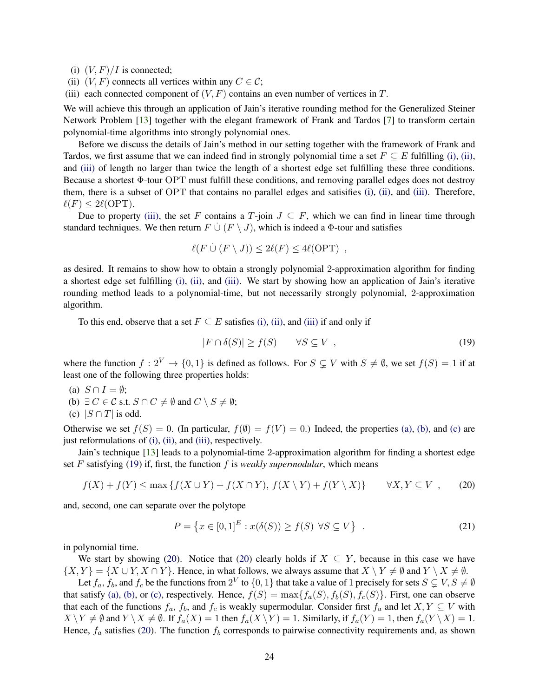<span id="page-24-1"></span><span id="page-24-0"></span>(i)  $(V, F)/I$  is connected;

- <span id="page-24-2"></span>(ii)  $(V, F)$  connects all vertices within any  $C \in \mathcal{C}$ ;
- (iii) each connected component of  $(V, F)$  contains an even number of vertices in T.

We will achieve this through an application of Jain's iterative rounding method for the Generalized Steiner Network Problem [\[13\]](#page-28-15) together with the elegant framework of Frank and Tardos [\[7\]](#page-27-6) to transform certain polynomial-time algorithms into strongly polynomial ones.

Before we discuss the details of Jain's method in our setting together with the framework of Frank and Tardos, we first assume that we can indeed find in strongly polynomial time a set  $F \subseteq E$  fulfilling [\(i\),](#page-24-0) [\(ii\),](#page-24-1) and [\(iii\)](#page-24-2) of length no larger than twice the length of a shortest edge set fulfilling these three conditions. Because a shortest  $\Phi$ -tour OPT must fulfill these conditions, and removing parallel edges does not destroy them, there is a subset of OPT that contains no parallel edges and satisifies [\(i\),](#page-24-0) [\(ii\),](#page-24-1) and [\(iii\).](#page-24-2) Therefore,  $\ell(F) \leq 2\ell(OPT)$ .

Due to property [\(iii\),](#page-24-2) the set F contains a T-join  $J \subseteq F$ , which we can find in linear time through standard techniques. We then return  $F \cup (F \setminus J)$ , which is indeed a  $\Phi$ -tour and satisfies

$$
\ell(F \cup (F \setminus J)) \leq 2\ell(F) \leq 4\ell(OPT) ,
$$

as desired. It remains to show how to obtain a strongly polynomial 2-approximation algorithm for finding a shortest edge set fulfilling [\(i\),](#page-24-0) [\(ii\),](#page-24-1) and [\(iii\).](#page-24-2) We start by showing how an application of Jain's iterative rounding method leads to a polynomial-time, but not necessarily strongly polynomial, 2-approximation algorithm.

To this end, observe that a set  $F \subseteq E$  satisfies [\(i\),](#page-24-0) [\(ii\),](#page-24-1) and [\(iii\)](#page-24-2) if and only if

<span id="page-24-6"></span>
$$
|F \cap \delta(S)| \ge f(S) \qquad \forall S \subseteq V , \tag{19}
$$

where the function  $f: 2^V \to \{0, 1\}$  is defined as follows. For  $S \subset V$  with  $S \neq \emptyset$ , we set  $f(S) = 1$  if at least one of the following three properties holds:

- <span id="page-24-4"></span><span id="page-24-3"></span>(a)  $S \cap I = \emptyset$ ;
- <span id="page-24-5"></span>(b)  $\exists C \in \mathcal{C}$  s.t.  $S \cap C \neq \emptyset$  and  $C \setminus S \neq \emptyset$ ;
- (c)  $|S \cap T|$  is odd.

Otherwise we set  $f(S) = 0$ . (In particular,  $f(\emptyset) = f(V) = 0$ .) Indeed, the properties [\(a\),](#page-24-3) [\(b\),](#page-24-4) and [\(c\)](#page-24-5) are just reformulations of [\(i\),](#page-24-0) [\(ii\),](#page-24-1) and [\(iii\),](#page-24-2) respectively.

Jain's technique [\[13\]](#page-28-15) leads to a polynomial-time 2-approximation algorithm for finding a shortest edge set  $F$  satisfying [\(19\)](#page-24-6) if, first, the function  $f$  is *weakly supermodular*, which means

<span id="page-24-7"></span>
$$
f(X) + f(Y) \le \max \{ f(X \cup Y) + f(X \cap Y), f(X \setminus Y) + f(Y \setminus X) \} \qquad \forall X, Y \subseteq V \tag{20}
$$

and, second, one can separate over the polytope

$$
P = \left\{ x \in [0,1]^E : x(\delta(S)) \ge f(S) \ \forall S \subseteq V \right\} \tag{21}
$$

in polynomial time.

We start by showing [\(20\)](#page-24-7). Notice that [\(20\)](#page-24-7) clearly holds if  $X \subseteq Y$ , because in this case we have  $\{X, Y\} = \{X \cup Y, X \cap Y\}$ . Hence, in what follows, we always assume that  $X \setminus Y \neq \emptyset$  and  $Y \setminus X \neq \emptyset$ .

Let  $f_a$ ,  $f_b$ , and  $f_c$  be the functions from  $2^V$  to  $\{0,1\}$  that take a value of 1 precisely for sets  $S\subsetneq V, S\neq \emptyset$ that satisfy [\(a\),](#page-24-3) [\(b\),](#page-24-4) or [\(c\),](#page-24-5) respectively. Hence,  $f(S) = \max\{f_a(S), f_b(S), f_c(S)\}\$ . First, one can observe that each of the functions  $f_a$ ,  $f_b$ , and  $f_c$  is weakly supermodular. Consider first  $f_a$  and let  $X, Y \subseteq V$  with  $X \ Y \neq \emptyset$  and  $Y \ X \neq \emptyset$ . If  $f_a(X) = 1$  then  $f_a(X \ Y) = 1$ . Similarly, if  $f_a(Y) = 1$ , then  $f_a(Y \ X) = 1$ . Hence,  $f_a$  satisfies [\(20\)](#page-24-7). The function  $f_b$  corresponds to pairwise connectivity requirements and, as shown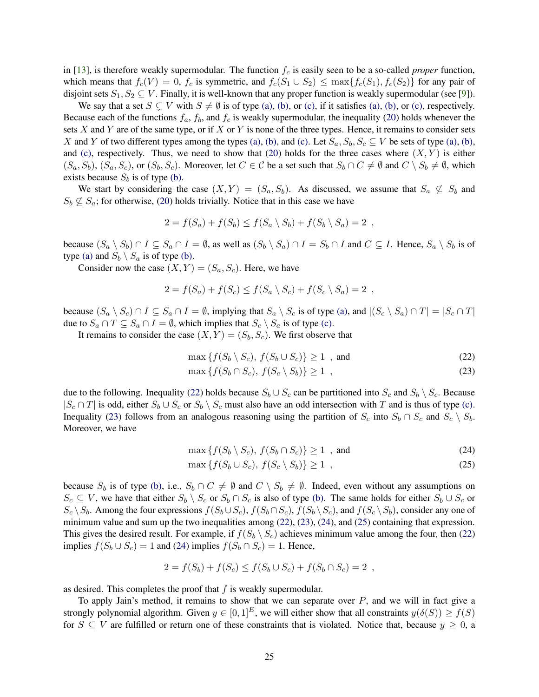in [\[13\]](#page-28-15), is therefore weakly supermodular. The function  $f_c$  is easily seen to be a so-called *proper* function, which means that  $f_c(V) = 0$ ,  $f_c$  is symmetric, and  $f_c(S_1 \cup S_2) \le \max\{f_c(S_1), f_c(S_2)\}\)$  for any pair of disjoint sets  $S_1, S_2 \subseteq V$ . Finally, it is well-known that any proper function is weakly supermodular (see [\[9\]](#page-27-7)).

We say that a set  $S \subsetneq V$  with  $S \neq \emptyset$  is of type [\(a\),](#page-24-3) [\(b\),](#page-24-4) or [\(c\),](#page-24-5) if it satisfies (a), (b), or (c), respectively. Because each of the functions  $f_a$ ,  $f_b$ , and  $f_c$  is weakly supermodular, the inequality [\(20\)](#page-24-7) holds whenever the sets  $X$  and  $Y$  are of the same type, or if  $X$  or  $Y$  is none of the three types. Hence, it remains to consider sets X and Y of two different types among the types [\(a\),](#page-24-3) [\(b\),](#page-24-4) and [\(c\).](#page-24-5) Let  $S_a$ ,  $S_b$ ,  $S_c \subseteq V$  be sets of type (a), (b), and [\(c\),](#page-24-5) respectively. Thus, we need to show that [\(20\)](#page-24-7) holds for the three cases where  $(X, Y)$  is either  $(S_a, S_b), (S_a, S_c)$ , or  $(S_b, S_c)$ . Moreover, let  $C \in \mathcal{C}$  be a set such that  $S_b \cap C \neq \emptyset$  and  $C \setminus S_b \neq \emptyset$ , which exists because  $S_b$  is of type [\(b\).](#page-24-4)

We start by considering the case  $(X, Y) = (S_a, S_b)$ . As discussed, we assume that  $S_a \not\subseteq S_b$  and  $S_b \nsubseteq S_a$ ; for otherwise, [\(20\)](#page-24-7) holds trivially. Notice that in this case we have

$$
2 = f(S_a) + f(S_b) \le f(S_a \setminus S_b) + f(S_b \setminus S_a) = 2 ,
$$

because  $(S_a \setminus S_b) \cap I \subseteq S_a \cap I = \emptyset$ , as well as  $(S_b \setminus S_a) \cap I = S_b \cap I$  and  $C \subseteq I$ . Hence,  $S_a \setminus S_b$  is of type [\(a\)](#page-24-3) and  $S_b \setminus S_a$  is of type [\(b\).](#page-24-4)

Consider now the case  $(X, Y) = (S_a, S_c)$ . Here, we have

$$
2 = f(S_a) + f(S_c) \le f(S_a \setminus S_c) + f(S_c \setminus S_a) = 2 ,
$$

because  $(S_a \setminus S_c) \cap I \subseteq S_a \cap I = \emptyset$ , implying that  $S_a \setminus S_c$  is of type [\(a\),](#page-24-3) and  $|(S_c \setminus S_a) \cap T| = |S_c \cap T|$ due to  $S_a \cap T \subseteq S_a \cap I = \emptyset$ , which implies that  $S_c \setminus S_a$  is of type [\(c\).](#page-24-5)

It remains to consider the case  $(X, Y) = (S_b, S_c)$ . We first observe that

<span id="page-25-1"></span><span id="page-25-0"></span>
$$
\max\left\{f(S_b \setminus S_c), \ f(S_b \cup S_c)\right\} \ge 1 \quad \text{and} \tag{22}
$$

$$
\max\left\{f(S_b \cap S_c), \, f(S_c \setminus S_b)\right\} \ge 1 \tag{23}
$$

due to the following. Inequality [\(22\)](#page-25-0) holds because  $S_b \cup S_c$  can be partitioned into  $S_c$  and  $S_b \setminus S_c$ . Because  $|S_c \cap T|$  is odd, either  $S_b \cup S_c$  or  $S_b \setminus S_c$  must also have an odd intersection with T and is thus of type [\(c\).](#page-24-5) Inequality [\(23\)](#page-25-1) follows from an analogous reasoning using the partition of  $S_c$  into  $S_b \cap S_c$  and  $S_c \setminus S_b$ . Moreover, we have

<span id="page-25-3"></span><span id="page-25-2"></span>
$$
\max\left\{f(S_b \setminus S_c), \ f(S_b \cap S_c)\right\} \ge 1 \quad \text{and} \tag{24}
$$

$$
\max\left\{f(S_b \cup S_c), \, f(S_c \setminus S_b)\right\} \ge 1 \tag{25}
$$

because  $S_b$  is of type [\(b\),](#page-24-4) i.e.,  $S_b \cap C \neq \emptyset$  and  $C \setminus S_b \neq \emptyset$ . Indeed, even without any assumptions on  $S_c \subseteq V$ , we have that either  $S_b \setminus S_c$  or  $S_b \cap S_c$  is also of type [\(b\).](#page-24-4) The same holds for either  $S_b \cup S_c$  or  $S_c \setminus S_b$ . Among the four expressions  $f(S_b \cup S_c)$ ,  $f(S_b \cap S_c)$ ,  $f(S_b \setminus S_c)$ , and  $f(S_c \setminus S_b)$ , consider any one of minimum value and sum up the two inequalities among [\(22\)](#page-25-0), [\(23\)](#page-25-1), [\(24\)](#page-25-2), and [\(25\)](#page-25-3) containing that expression. This gives the desired result. For example, if  $f(S_b \setminus S_c)$  achieves minimum value among the four, then [\(22\)](#page-25-0) implies  $f(S_b \cup S_c) = 1$  and [\(24\)](#page-25-2) implies  $f(S_b \cap S_c) = 1$ . Hence,

$$
2 = f(S_b) + f(S_c) \le f(S_b \cup S_c) + f(S_b \cap S_c) = 2 ,
$$

as desired. This completes the proof that  $f$  is weakly supermodular.

To apply Jain's method, it remains to show that we can separate over  $P$ , and we will in fact give a strongly polynomial algorithm. Given  $y \in [0,1]^E$ , we will either show that all constraints  $y(\delta(S)) \ge f(S)$ for  $S \subseteq V$  are fulfilled or return one of these constraints that is violated. Notice that, because  $y \ge 0$ , a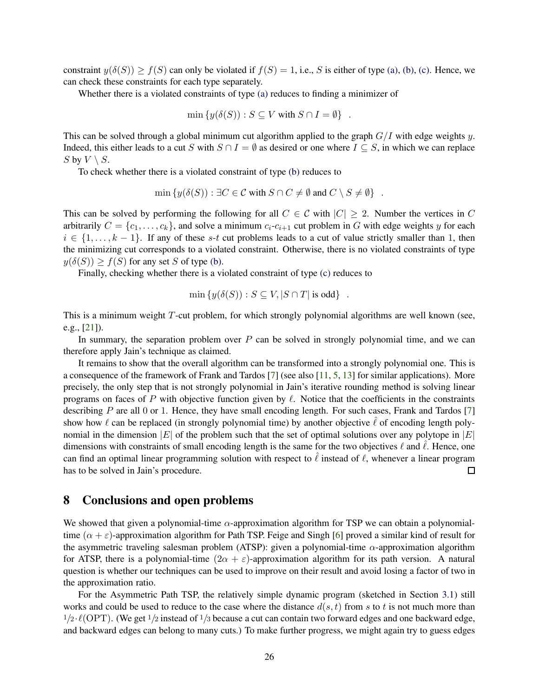constraint  $y(\delta(S)) \ge f(S)$  can only be violated if  $f(S) = 1$ , i.e., S is either of type [\(a\),](#page-24-3) [\(b\),](#page-24-4) [\(c\).](#page-24-5) Hence, we can check these constraints for each type separately.

Whether there is a violated constraints of type [\(a\)](#page-24-3) reduces to finding a minimizer of

$$
\min \{ y(\delta(S)) : S \subseteq V \text{ with } S \cap I = \emptyset \}
$$

This can be solved through a global minimum cut algorithm applied to the graph  $G/I$  with edge weights y. Indeed, this either leads to a cut S with  $S \cap I = \emptyset$  as desired or one where  $I \subseteq S$ , in which we can replace S by  $V \setminus S$ .

To check whether there is a violated constraint of type [\(b\)](#page-24-4) reduces to

$$
\min \{ y(\delta(S)) : \exists C \in \mathcal{C} \text{ with } S \cap C \neq \emptyset \text{ and } C \setminus S \neq \emptyset \} .
$$

This can be solved by performing the following for all  $C \in \mathcal{C}$  with  $|C| \geq 2$ . Number the vertices in C arbitrarily  $C = \{c_1, \ldots, c_k\}$ , and solve a minimum  $c_i$ - $c_{i+1}$  cut problem in G with edge weights y for each  $i \in \{1, \ldots, k-1\}$ . If any of these s-t cut problems leads to a cut of value strictly smaller than 1, then the minimizing cut corresponds to a violated constraint. Otherwise, there is no violated constraints of type  $y(\delta(S)) \ge f(S)$  for any set S of type [\(b\).](#page-24-4)

Finally, checking whether there is a violated constraint of type [\(c\)](#page-24-5) reduces to

$$
\min \{ y(\delta(S)) : S \subseteq V, |S \cap T| \text{ is odd} \}
$$

This is a minimum weight T-cut problem, for which strongly polynomial algorithms are well known (see, e.g., [\[21\]](#page-28-16)).

In summary, the separation problem over  $P$  can be solved in strongly polynomial time, and we can therefore apply Jain's technique as claimed.

It remains to show that the overall algorithm can be transformed into a strongly polynomial one. This is a consequence of the framework of Frank and Tardos [\[7\]](#page-27-6) (see also [\[11,](#page-27-8) [5,](#page-27-9) [13\]](#page-28-15) for similar applications). More precisely, the only step that is not strongly polynomial in Jain's iterative rounding method is solving linear programs on faces of P with objective function given by  $\ell$ . Notice that the coefficients in the constraints describing  $P$  are all 0 or 1. Hence, they have small encoding length. For such cases, Frank and Tardos [\[7\]](#page-27-6) show how  $\ell$  can be replaced (in strongly polynomial time) by another objective  $\ell$  of encoding length polynomial in the dimension |E| of the problem such that the set of optimal solutions over any polytope in |E| dimensions with constraints of small encoding length is the same for the two objectives  $\ell$  and  $\ell$ . Hence, one can find an optimal linear programming solution with respect to  $\ell$  instead of  $\ell$ , whenever a linear program has to be solved in Jain's procedure.  $\Box$ 

### <span id="page-26-0"></span>8 Conclusions and open problems

We showed that given a polynomial-time  $\alpha$ -approximation algorithm for TSP we can obtain a polynomialtime ( $\alpha + \varepsilon$ )-approximation algorithm for Path TSP. Feige and Singh [\[6\]](#page-27-10) proved a similar kind of result for the asymmetric traveling salesman problem (ATSP): given a polynomial-time  $\alpha$ -approximation algorithm for ATSP, there is a polynomial-time  $(2\alpha + \varepsilon)$ -approximation algorithm for its path version. A natural question is whether our techniques can be used to improve on their result and avoid losing a factor of two in the approximation ratio.

For the Asymmetric Path TSP, the relatively simple dynamic program (sketched in Section [3.1\)](#page-3-1) still works and could be used to reduce to the case where the distance  $d(s, t)$  from s to t is not much more than  $1/2 \cdot \ell(OPT)$ . (We get  $1/2$  instead of  $1/3$  because a cut can contain two forward edges and one backward edge, and backward edges can belong to many cuts.) To make further progress, we might again try to guess edges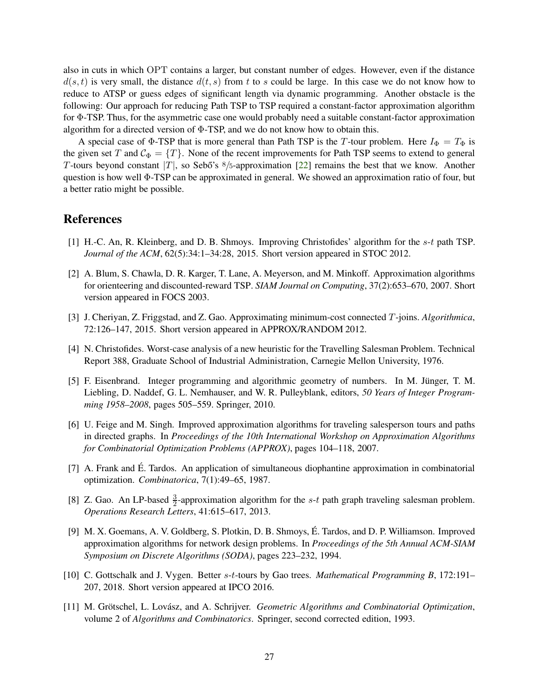also in cuts in which OPT contains a larger, but constant number of edges. However, even if the distance  $d(s, t)$  is very small, the distance  $d(t, s)$  from t to s could be large. In this case we do not know how to reduce to ATSP or guess edges of significant length via dynamic programming. Another obstacle is the following: Our approach for reducing Path TSP to TSP required a constant-factor approximation algorithm for Φ-TSP. Thus, for the asymmetric case one would probably need a suitable constant-factor approximation algorithm for a directed version of Φ-TSP, and we do not know how to obtain this.

A special case of  $\Phi$ -TSP that is more general than Path TSP is the T-tour problem. Here  $I_{\Phi} = T_{\Phi}$  is the given set T and  $\mathcal{C}_{\Phi} = \{T\}$ . None of the recent improvements for Path TSP seems to extend to general T-tours beyond constant |T|, so Sebő's  $8/5$ -approximation [\[22\]](#page-28-9) remains the best that we know. Another question is how well Φ-TSP can be approximated in general. We showed an approximation ratio of four, but a better ratio might be possible.

### <span id="page-27-1"></span>References

- <span id="page-27-5"></span>[1] H.-C. An, R. Kleinberg, and D. B. Shmoys. Improving Christofides' algorithm for the s-t path TSP. *Journal of the ACM*, 62(5):34:1–34:28, 2015. Short version appeared in STOC 2012.
- [2] A. Blum, S. Chawla, D. R. Karger, T. Lane, A. Meyerson, and M. Minkoff. Approximation algorithms for orienteering and discounted-reward TSP. *SIAM Journal on Computing*, 37(2):653–670, 2007. Short version appeared in FOCS 2003.
- <span id="page-27-4"></span><span id="page-27-0"></span>[3] J. Cheriyan, Z. Friggstad, and Z. Gao. Approximating minimum-cost connected T-joins. *Algorithmica*, 72:126–147, 2015. Short version appeared in APPROX/RANDOM 2012.
- <span id="page-27-9"></span>[4] N. Christofides. Worst-case analysis of a new heuristic for the Travelling Salesman Problem. Technical Report 388, Graduate School of Industrial Administration, Carnegie Mellon University, 1976.
- [5] F. Eisenbrand. Integer programming and algorithmic geometry of numbers. In M. Jünger, T. M. Liebling, D. Naddef, G. L. Nemhauser, and W. R. Pulleyblank, editors, *50 Years of Integer Programming 1958–2008*, pages 505–559. Springer, 2010.
- <span id="page-27-10"></span>[6] U. Feige and M. Singh. Improved approximation algorithms for traveling salesperson tours and paths in directed graphs. In *Proceedings of the 10th International Workshop on Approximation Algorithms for Combinatorial Optimization Problems (APPROX)*, pages 104–118, 2007.
- <span id="page-27-6"></span>[7] A. Frank and É. Tardos. An application of simultaneous diophantine approximation in combinatorial optimization. *Combinatorica*, 7(1):49–65, 1987.
- <span id="page-27-2"></span>[8] Z. Gao. An LP-based  $\frac{3}{2}$ -approximation algorithm for the s-t path graph traveling salesman problem. *Operations Research Letters*, 41:615–617, 2013.
- <span id="page-27-7"></span>[9] M. X. Goemans, A. V. Goldberg, S. Plotkin, D. B. Shmoys, E. Tardos, and D. P. Williamson. Improved ´ approximation algorithms for network design problems. In *Proceedings of the 5th Annual ACM-SIAM Symposium on Discrete Algorithms (SODA)*, pages 223–232, 1994.
- <span id="page-27-3"></span>[10] C. Gottschalk and J. Vygen. Better s-t-tours by Gao trees. *Mathematical Programming B*, 172:191– 207, 2018. Short version appeared at IPCO 2016.
- <span id="page-27-8"></span>[11] M. Grötschel, L. Lovász, and A. Schrijver. *Geometric Algorithms and Combinatorial Optimization*, volume 2 of *Algorithms and Combinatorics*. Springer, second corrected edition, 1993.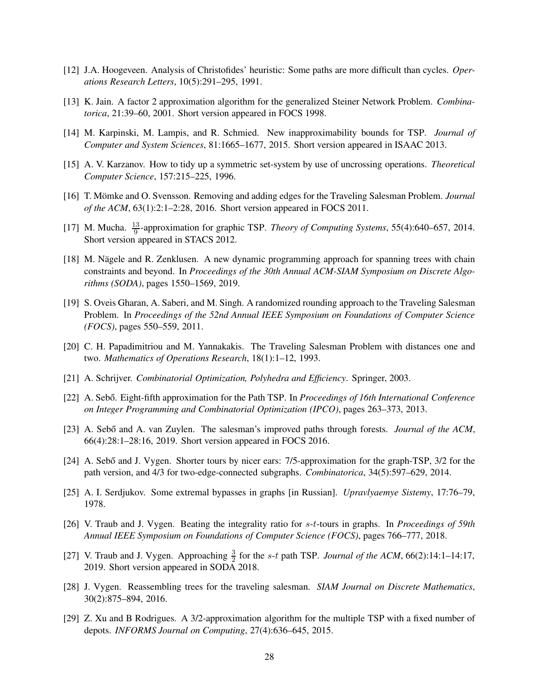- <span id="page-28-15"></span><span id="page-28-3"></span>[12] J.A. Hoogeveen. Analysis of Christofides' heuristic: Some paths are more difficult than cycles. *Operations Research Letters*, 10(5):291–295, 1991.
- <span id="page-28-1"></span>[13] K. Jain. A factor 2 approximation algorithm for the generalized Steiner Network Problem. *Combinatorica*, 21:39–60, 2001. Short version appeared in FOCS 1998.
- <span id="page-28-17"></span>[14] M. Karpinski, M. Lampis, and R. Schmied. New inapproximability bounds for TSP. *Journal of Computer and System Sciences*, 81:1665–1677, 2015. Short version appeared in ISAAC 2013.
- <span id="page-28-5"></span>[15] A. V. Karzanov. How to tidy up a symmetric set-system by use of uncrossing operations. *Theoretical Computer Science*, 157:215–225, 1996.
- <span id="page-28-6"></span>[16] T. Mömke and O. Svensson. Removing and adding edges for the Traveling Salesman Problem. *Journal of the ACM*, 63(1):2:1–2:28, 2016. Short version appeared in FOCS 2011.
- <span id="page-28-14"></span>[17] M. Mucha.  $\frac{13}{9}$ -approximation for graphic TSP. *Theory of Computing Systems*, 55(4):640–657, 2014. Short version appeared in STACS 2012.
- [18] M. Nägele and R. Zenklusen. A new dynamic programming approach for spanning trees with chain constraints and beyond. In *Proceedings of the 30th Annual ACM-SIAM Symposium on Discrete Algorithms (SODA)*, pages 1550–1569, 2019.
- <span id="page-28-4"></span>[19] S. Oveis Gharan, A. Saberi, and M. Singh. A randomized rounding approach to the Traveling Salesman Problem. In *Proceedings of the 52nd Annual IEEE Symposium on Foundations of Computer Science (FOCS)*, pages 550–559, 2011.
- <span id="page-28-16"></span><span id="page-28-0"></span>[20] C. H. Papadimitriou and M. Yannakakis. The Traveling Salesman Problem with distances one and two. *Mathematics of Operations Research*, 18(1):1–12, 1993.
- <span id="page-28-9"></span>[21] A. Schrijver. *Combinatorial Optimization, Polyhedra and Efficiency*. Springer, 2003.
- <span id="page-28-11"></span>[22] A. Seb˝o. Eight-fifth approximation for the Path TSP. In *Proceedings of 16th International Conference on Integer Programming and Combinatorial Optimization (IPCO)*, pages 263–373, 2013.
- <span id="page-28-7"></span>[23] A. Sebő and A. van Zuylen. The salesman's improved paths through forests. *Journal of the ACM*, 66(4):28:1–28:16, 2019. Short version appeared in FOCS 2016.
- [24] A. Sebő and J. Vygen. Shorter tours by nicer ears: 7/5-approximation for the graph-TSP, 3/2 for the path version, and 4/3 for two-edge-connected subgraphs. *Combinatorica*, 34(5):597–629, 2014.
- <span id="page-28-8"></span><span id="page-28-2"></span>[25] A. I. Serdjukov. Some extremal bypasses in graphs [in Russian]. *Upravlyaemye Sistemy*, 17:76–79, 1978.
- [26] V. Traub and J. Vygen. Beating the integrality ratio for s-t-tours in graphs. In *Proceedings of 59th Annual IEEE Symposium on Foundations of Computer Science (FOCS)*, pages 766–777, 2018.
- <span id="page-28-12"></span>[27] V. Traub and J. Vygen. Approaching  $\frac{3}{2}$  for the s-t path TSP. *Journal of the ACM*, 66(2):14:1–14:17, 2019. Short version appeared in SODA 2018.
- <span id="page-28-10"></span>[28] J. Vygen. Reassembling trees for the traveling salesman. *SIAM Journal on Discrete Mathematics*, 30(2):875–894, 2016.
- <span id="page-28-13"></span>[29] Z. Xu and B Rodrigues. A 3/2-approximation algorithm for the multiple TSP with a fixed number of depots. *INFORMS Journal on Computing*, 27(4):636–645, 2015.